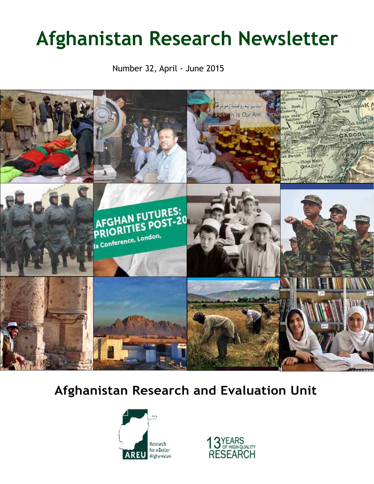# **Afghanistan Research Newsletter**

Number 32, April - June 2015



## **Afghanistan Research and Evaluation Unit**



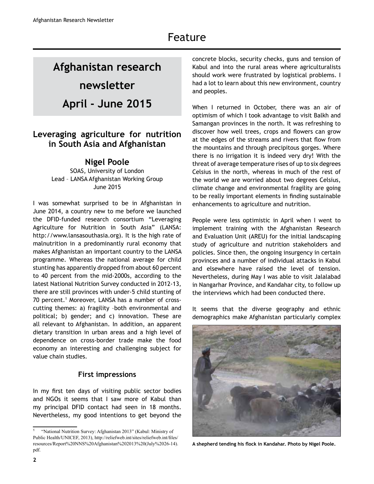## Feature

## **Afghanistan research**

**newsletter April - June 2015**

#### **Leveraging agriculture for nutrition in South Asia and Afghanistan**

#### **Nigel Poole**

SOAS, University of London Lead – LANSA Afghanistan Working Group June 2015

I was somewhat surprised to be in Afghanistan in June 2014, a country new to me before we launched the DFID-funded research consortium "Leveraging Agriculture for Nutrition in South Asia" (LANSA: [http://www.lansasouthasia.org\)](http://www.lansasouthasia.org). It is the high rate of malnutrition in a predominantly rural economy that makes Afghanistan an important country to the LANSA programme. Whereas the national average for child stunting has apparently dropped from about 60 percent to 40 percent from the mid-2000s, according to the latest National Nutrition Survey conducted in 2012-13, there are still provinces with under-5 child stunting of 70 percent.1 Moreover, LANSA has a number of crosscutting themes: a) fragility –both environmental and political; b) gender; and c) innovation. These are all relevant to Afghanistan. In addition, an apparent dietary transition in urban areas and a high level of dependence on cross-border trade make the food economy an interesting and challenging subject for value chain studies.

#### **First impressions**

In my first ten days of visiting public sector bodies and NGOs it seems that I saw more of Kabul than my principal DFID contact had seen in 18 months. Nevertheless, my good intentions to get beyond the concrete blocks, security checks, guns and tension of Kabul and into the rural areas where agriculturalists should work were frustrated by logistical problems. I had a lot to learn about this new environment, country and peoples.

When I returned in October, there was an air of optimism of which I took advantage to visit Balkh and Samangan provinces in the north. It was refreshing to discover how well trees, crops and flowers can grow at the edges of the streams and rivers that flow from the mountains and through precipitous gorges. Where there is no irrigation it is indeed very dry! With the threat of average temperature rises of up to six degrees Celsius in the north, whereas in much of the rest of the world we are worried about two degrees Celsius, climate change and environmental fragility are going to be really important elements in finding sustainable enhancements to agriculture and nutrition.

People were less optimistic in April when I went to implement training with the Afghanistan Research and Evaluation Unit (AREU) for the initial landscaping study of agriculture and nutrition stakeholders and policies. Since then, the ongoing insurgency in certain provinces and a number of individual attacks in Kabul and elsewhere have raised the level of tension. Nevertheless, during May I was able to visit Jalalabad in Nangarhar Province, and Kandahar city, to follow up the interviews which had been conducted there.

It seems that the diverse geography and ethnic demographics make Afghanistan particularly complex



**A shepherd tending his flock in Kandahar. Photo by Nigel Poole.**

<sup>&</sup>quot;National Nutrition Survey: Afghanistan 2013" (Kabul: Ministry of Public Health/UNICEF, 2013), [http://reliefweb.int/sites/reliefweb.int/](http://reliefweb.int/sites/reliefweb.int/files/resources/Report%20NNS%20Afghanistan%202013%20(July%2026-14).pdf)files/ [resources/Report%20NNS%20Afghanistan%202013%20\(July%2026-14\).](http://reliefweb.int/sites/reliefweb.int/files/resources/Report%20NNS%20Afghanistan%202013%20(July%2026-14).pdf) [pdf.](http://reliefweb.int/sites/reliefweb.int/files/resources/Report%20NNS%20Afghanistan%202013%20(July%2026-14).pdf)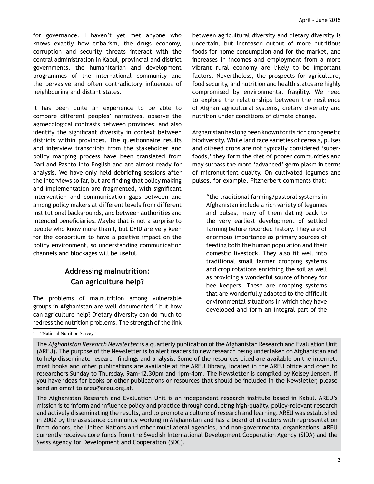for governance. I haven't yet met anyone who knows exactly how tribalism, the drugs economy, corruption and security threats interact with the central administration in Kabul, provincial and district governments, the humanitarian and development programmes of the international community and the pervasive and often contradictory influences of neighbouring and distant states.

It has been quite an experience to be able to compare different peoples' narratives, observe the agroecological contrasts between provinces, and also identify the significant diversity in context between districts within provinces. The questionnaire results and interview transcripts from the stakeholder and policy mapping process have been translated from Dari and Pashto into English and are almost ready for analysis. We have only held debriefing sessions after the interviews so far, but are finding that policy making and implementation are fragmented, with significant intervention and communication gaps between and among policy makers at different levels from different institutional backgrounds, and between authorities and intended beneficiaries. Maybe that is not a surprise to people who know more than I, but DFID are very keen for the consortium to have a positive impact on the policy environment, so understanding communication channels and blockages will be useful.

#### **Addressing malnutrition: Can agriculture help?**

The problems of malnutrition among vulnerable groups in Afghanistan are well documented, $<sup>2</sup>$  but how</sup> can agriculture help? Dietary diversity can do much to redress the nutrition problems. The strength of the link

April - June 2015

between agricultural diversity and dietary diversity is uncertain, but increased output of more nutritious foods for home consumption and for the market, and increases in incomes and employment from a more vibrant rural economy are likely to be important factors. Nevertheless, the prospects for agriculture, food security, and nutrition and health status are highly compromised by environmental fragility. We need to explore the relationships between the resilience of Afghan agricultural systems, dietary diversity and nutrition under conditions of climate change.

Afghanistan has long been known for its rich crop genetic biodiversity. While land race varieties of cereals, pulses and oilseed crops are not typically considered 'superfoods,' they form the diet of poorer communities and may surpass the more 'advanced' germ plasm in terms of micronutrient quality. On cultivated legumes and pulses, for example, Fitzherbert comments that:

"the traditional farming/pastoral systems in Afghanistan include a rich variety of legumes and pulses, many of them dating back to the very earliest development of settled farming before recorded history. They are of enormous importance as primary sources of feeding both the human population and their domestic livestock. They also fit well into traditional small farmer cropping systems and crop rotations enriching the soil as well as providing a wonderful source of honey for bee keepers. These are cropping systems that are wonderfully adapted to the difficult environmental situations in which they have developed and form an integral part of the

The Afghanistan Research and Evaluation Unit is an independent research institute based in Kabul. AREU's mission is to inform and influence policy and practice through conducting high-quality, policy-relevant research and actively disseminating the results, and to promote a culture of research and learning. AREU was established in 2002 by the assistance community working in Afghanistan and has a board of directors with representation from donors, the United Nations and other multilateral agencies, and non-governmental organisations. AREU currently receives core funds from the Swedish International Development Cooperation Agency (SIDA) and the Swiss Agency for Development and Cooperation (SDC).

<sup>&</sup>quot;National Nutrition Survey"

The *Afghanistan Research Newsletter* is a quarterly publication of the Afghanistan Research and Evaluation Unit (AREU). The purpose of the Newsletter is to alert readers to new research being undertaken on Afghanistan and to help disseminate research findings and analysis. Some of the resources cited are available on the internet; most books and other publications are available at the AREU library, located in the AREU office and open to researchers Sunday to Thursday, 9am-12.30pm and 1pm-4pm. The Newsletter is compiled by Kelsey Jensen. If you have ideas for books or other publications or resources that should be included in the Newsletter, please send an email to [areu@areu.org.af.](mailto:areu@areu.org.af)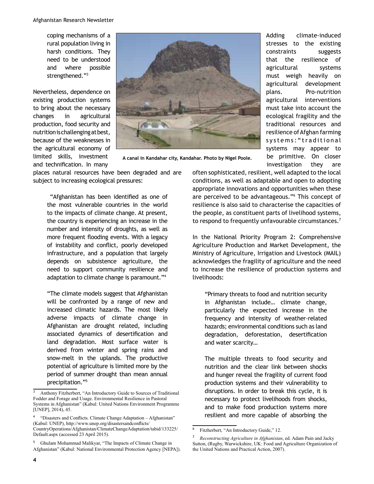coping mechanisms of a rural population living in harsh conditions. They need to be understood and where possible strengthened."3

Nevertheless, dependence on existing production systems to bring about the necessary changes in agricultural production, food security and nutrition is challenging at best, because of the weaknesses in the agricultural economy of limited skills, investment and technification. In many



**A canal in Kandahar city, Kandahar. Photo by Nigel Poole.**

places natural resources have been degraded and are subject to increasing ecological pressures:

 "Afghanistan has been identified as one of the most vulnerable countries in the world to the impacts of climate change. At present, the country is experiencing an increase in the number and intensity of droughts, as well as more frequent flooding events. With a legacy of instability and conflict, poorly developed infrastructure, and a population that largely depends on subsistence agriculture, the need to support community resilience and adaptation to climate change is paramount."4

"The climate models suggest that Afghanistan will be confronted by a range of new and increased climatic hazards. The most likely adverse impacts of climate change in Afghanistan are drought related, including associated dynamics of desertification and land degradation. Most surface water is derived from winter and spring rains and snow-melt in the uplands. The productive potential of agriculture is limited more by the period of summer drought than mean annual precipitation."5

Adding climate-induced stresses to the existing constraints suggests that the resilience of agricultural systems must weigh heavily on agricultural development plans. Pro-nutrition agricultural interventions must take into account the ecological fragility and the traditional resources and resilience of Afghan farming systems: "traditional systems may appear to be primitive. On closer investigation they are

often sophisticated, resilient, well adapted to the local conditions, as well as adaptable and open to adopting appropriate innovations and opportunities when these are perceived to be advantageous."6 This concept of resilience is also said to characterise the capacities of the people, as constituent parts of livelihood systems, to respond to frequently unfavourable circumstances.<sup>7</sup>

In the National Priority Program 2: Comprehensive Agriculture Production and Market Development, the Ministry of Agriculture, Irrigation and Livestock (MAIL) acknowledges the fragility of agriculture and the need to increase the resilience of production systems and livelihoods:

"Primary threats to food and nutrition security in Afghanistan include… climate change, particularly the expected increase in the frequency and intensity of weather-related hazards; environmental conditions such as land degradation, deforestation, desertification and water scarcity…

The multiple threats to food security and nutrition and the clear link between shocks and hunger reveal the fragility of current food production systems and their vulnerability to disruptions. In order to break this cycle, it is necessary to protect livelihoods from shocks, and to make food production systems more resilient and more capable of absorbing the

<sup>3</sup> Anthony Fitzherbert, "An Introductory Guide to Sources of Traditional Fodder and Forage and Usage. Environmental Resilience in Pastoral Systems in Afghanistan" (Kabul: United Nations Environment Programme [UNEP], 2014), 45.

<sup>4</sup> "Disasters and Conflicts. Climate Change Adaptation – Afghanistan" (Kabul: UNEP), [http://www.unep.org/](http://www.unep.org/disastersandconflicts/CountryOperations/Afghanistan/ClimateChangeAdaptation/tabid/133225/Default.aspx)disastersandconflicts/ [CountryOperations/Afghanistan/ClimateChangeAdaptation/tabid/133225/](http://www.unep.org/disastersandconflicts/CountryOperations/Afghanistan/ClimateChangeAdaptation/tabid/133225/Default.aspx) [Default.aspx](http://www.unep.org/disastersandconflicts/CountryOperations/Afghanistan/ClimateChangeAdaptation/tabid/133225/Default.aspx) (accessed 23 April 2015).

<sup>5</sup> Ghulam Mohammad Malikyar, "The Impacts of Climate Change in Afghanistan" (Kabul: National Environmental Protection Agency [NEPA]).

Fitzherbert, "An Introductory Guide," 12.

<sup>7</sup> *Reconstructing Agriculture in Afghanistan*, ed. Adam Pain and Jacky Sutton, (Rugby, Warwickshire, UK: Food and Agriculture Organization of the United Nations and Practical Action, 2007).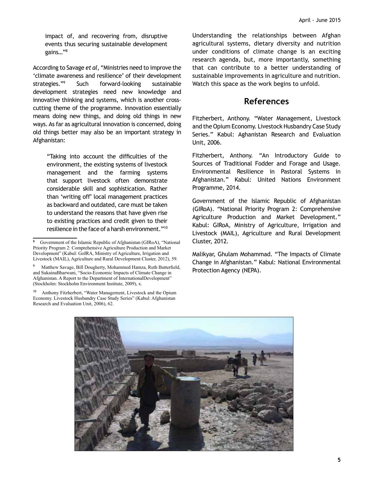impact of, and recovering from, disruptive events thus securing sustainable development gains…"8

According to Savage *et al*, "Ministries need to improve the 'climate awareness and resilience' of their development strategies."9 Such forward-looking sustainable development strategies need new knowledge and innovative thinking and systems, which is another crosscutting theme of the programme. Innovation essentially means doing new things, and doing old things in new ways. As far as agricultural innovation is concerned, doing old things better may also be an important strategy in Afghanistan:

"Taking into account the difficulties of the environment, the existing systems of livestock management and the farming systems that support livestock often demonstrate considerable skill and sophistication. Rather than 'writing off' local management practices as backward and outdated, care must be taken to understand the reasons that have given rise to existing practices and credit given to their resilience in the face of a harsh environment."10 Understanding the relationships between Afghan agricultural systems, dietary diversity and nutrition under conditions of climate change is an exciting research agenda, but, more importantly, something that can contribute to a better understanding of sustainable improvements in agriculture and nutrition. Watch this space as the work begins to unfold.

#### **References**

Fitzherbert, Anthony. "Water Management, Livestock and the Opium Economy. Livestock Husbandry Case Study Series." Kabul: Aghanistan Research and Evaluation Unit, 2006.

Fitzherbert, Anthony. "An Introductory Guide to Sources of Traditional Fodder and Forage and Usage. Environmental Resilience in Pastoral Systems in Afghanistan." Kabul: United Nations Environment Programme, 2014.

Government of the Islamic Republic of Afghanistan (GIRoA). "National Priority Program 2: Comprehensive Agriculture Production and Market Development." Kabul: GIRoA, Ministry of Agriculture, Irrigation and Livestock (MAIL), Agriculture and Rural Development Cluster, 2012.

Malikyar, Ghulam Mohammad. "The Impacts of Climate Change in Afghanistan." Kabul: National Environmental Protection Agency (NEPA).



<sup>8</sup> Government of the Islamic Republic of Afghanistan (GIRoA), "National Priority Program 2: Comprehensive Agriculture Production and Market Development" (Kabul: GoIRA, Ministry of Agriculture, Irrigation and Livestock (MAIL), Agriculture and Rural Development Cluster, 2012), 59.

Matthew Savage, Bill Dougherty, Mohammed Hamza, Ruth Butterfield, and SukainaBharwani, "Socio-Economic Impacts of Climate Change in Afghanistan. A Report to the Department of InternationalDevelopment" (Stockholm: Stockholm Environment Institute, 2009), x.

<sup>10</sup> Anthony Fitzherbert, "Water Management, Livestock and the Opium Economy. Livestock Husbandry Case Study Series" (Kabul: Afghanistan Research and Evaluation Unit, 2006), 62.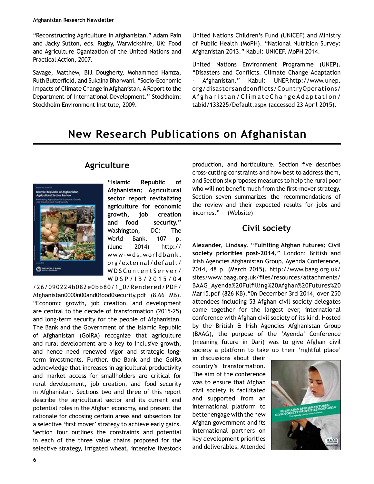#### Afghanistan Research Newsletter

"Reconstructing Agriculture in Afghanistan." Adam Pain and Jacky Sutton, eds. Rugby, Warwickshire, UK: Food and Agriculture Oganization of the United Nations and Practical Action, 2007.

Savage, Matthew, Bill Dougherty, Mohammed Hamza, Ruth Butterfield, and Sukaina Bharwani. "Socio-Economic Impacts of Climate Change in Afghanistan. A Report to the Department of International Development." Stockholm: Stockholm Environment Institute, 2009.

United Nations Children's Fund (UNICEF) and Ministry of Public Health (MoPH). "National Nutrition Survey: Afghanistan 2013." Kabul: UNICEF, MoPH 2014.

United Nations Environment Programme (UNEP). "Disasters and Conflicts. Climate Change Adaptation - Afghanistan." Kabul: UNEP.http://www.unep. org/disastersandconflicts/CountryOperations/ Afghanistan/ClimateChangeAdaptation/ tabid/133225/Default.aspx (accessed 23 April 2015).

## **New Research Publications on Afghanistan**



**Agriculture**

**"Islamic Republic of Afghanistan: Agricultural sector report revitalizing agriculture for economic growth, job creation and food security."**  Washington, DC: The World Bank, 107 p. (June 2014) [http://](http://www-wds.worldbank.org/external/default/WDSContentServer/WDSP/IB/2015/04/26/090224b082e0bb80/1_0/Rendered/PDF/Afghanistan0000n00and0food0security.pdf) [www-wds.worldbank](http://www-wds.worldbank.org/external/default/WDSContentServer/WDSP/IB/2015/04/26/090224b082e0bb80/1_0/Rendered/PDF/Afghanistan0000n00and0food0security.pdf) . [org/external/default/](http://www-wds.worldbank.org/external/default/WDSContentServer/WDSP/IB/2015/04/26/090224b082e0bb80/1_0/Rendered/PDF/Afghanistan0000n00and0food0security.pdf) [WDSContentServer/](http://www-wds.worldbank.org/external/default/WDSContentServer/WDSP/IB/2015/04/26/090224b082e0bb80/1_0/Rendered/PDF/Afghanistan0000n00and0food0security.pdf) [WDSP/IB/2015/04](http://www-wds.worldbank.org/external/default/WDSContentServer/WDSP/IB/2015/04/26/090224b082e0bb80/1_0/Rendered/PDF/Afghanistan0000n00and0food0security.pdf)

[/26/090224b082e0bb80/1\\_0/Rendered/PDF/](http://www-wds.worldbank.org/external/default/WDSContentServer/WDSP/IB/2015/04/26/090224b082e0bb80/1_0/Rendered/PDF/Afghanistan0000n00and0food0security.pdf) [Afghanistan0000n00and0food0security.pdf](http://www-wds.worldbank.org/external/default/WDSContentServer/WDSP/IB/2015/04/26/090224b082e0bb80/1_0/Rendered/PDF/Afghanistan0000n00and0food0security.pdf) (8.66 MB). "Economic growth, job creation, and development are central to the decade of transformation (2015-25) and long-term security for the people of Afghanistan. The Bank and the Government of the Islamic Republic of Afghanistan (GoIRA) recognize that agriculture and rural development are a key to inclusive growth, and hence need renewed vigor and strategic longterm investments. Further, the Bank and the GoIRA acknowledge that increases in agricultural productivity and market access for smallholders are critical for rural development, job creation, and food security in Afghanistan. Sections two and three of this report describe the agricultural sector and its current and potential roles in the Afghan economy, and present the rationale for choosing certain areas and subsectors for a selective 'first mover' strategy to achieve early gains. Section four outlines the constraints and potential in each of the three value chains proposed for the selective strategy, irrigated wheat, intensive livestock production, and horticulture. Section five describes cross-cutting constraints and how best to address them, and Section six proposes measures to help the rural poor who will not benefit much from the first-mover strategy. Section seven summarizes the recommendations of the review and their expected results for jobs and incomes." — (Website)

#### **Civil society**

**Alexander, Lindsay. "Fulfilling Afghan futures: Civil society priorities post-2014."** London: British and Irish Agencies Afghanistan Group, Ayenda Conference, 2014, 48 p. (March 2015). [http://www.baag.org.uk/](http://www.baag.org.uk/sites/www.baag.org.uk/files/resources/attachments/BAAG_Ayenda%20Fulfilling%20Afghan%20Futures%20Mar15.pdf) sites/www.baag.[org.uk/files/resources/attachments/](http://www.baag.org.uk/sites/www.baag.org.uk/files/resources/attachments/BAAG_Ayenda%20Fulfilling%20Afghan%20Futures%20Mar15.pdf) [BAAG\\_Ayenda%20Fulfilling%20Afghan%20Futures%](http://www.baag.org.uk/sites/www.baag.org.uk/files/resources/attachments/BAAG_Ayenda%20Fulfilling%20Afghan%20Futures%20Mar15.pdf)20 [Mar15.pdf](http://www.baag.org.uk/sites/www.baag.org.uk/files/resources/attachments/BAAG_Ayenda%20Fulfilling%20Afghan%20Futures%20Mar15.pdf) (826 KB)."0n December 3rd 2014, over 250 attendees including 53 Afghan civil society delegates came together for the largest ever, international conference with Afghan civil society of its kind. Hosted by the British & Irish Agencies Afghanistan Group (BAAG), the purpose of the 'Ayenda' Conference (meaning future in Dari) was to give Afghan civil society a platform to take up their 'rightful place'

in discussions about their country's transformation. The aim of the conference was to ensure that Afghan civil society is facilitated and supported from an international platform to better engage with the new Afghan government and its international partners on key development priorities and deliverables. Attended

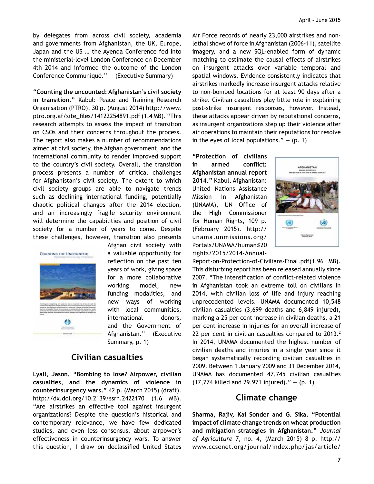by delegates from across civil society, academia and governments from Afghanistan, the UK, Europe, Japan and the US … the Ayenda Conference fed into the ministerial-level London Conference on December 4th 2014 and informed the outcome of the London Conference Communiqué." — (Executive Summary)

**"Counting the uncounted: Afghanistan's civil society in transition."** Kabul: Peace and Training Research Organisation (PTRO), 30 p. (August 2014) [http://www.](http://www.ptro.org.af/site_files/14122254891.pdf) ptro.org.af/site[\\_files/14122254891.pdf](http://www.ptro.org.af/site_files/14122254891.pdf) (1.4 MB). "This research attempts to assess the impact of transition on CSOs and their concerns throughout the process. The report also makes a number of recommendations aimed at civil society, the Afghan government, and the international community to render improved support to the country's civil society. Overall, the transition process presents a number of critical challenges for Afghanistan's civil society. The extent to which civil society groups are able to navigate trends such as declining international funding, potentially chaotic political changes after the 2014 election, and an increasingly fragile security environment will determine the capabilities and position of civil society for a number of years to come. Despite these challenges, however, transition also presents



Afghan civil society with a valuable opportunity for reflection on the past ten years of work, giving space for a more collaborative working model, new funding modalities, and new ways of working with local communities, international donors, and the Government of Afghanistan." — (Executive Summary, p. 1)

#### **Civilian casualties**

**Lyall, Jason. "Bombing to lose? Airpower, civilian casualties, and the dynamics of violence in counterinsurgency wars."** 42 p. (March 2015) (draft). <http://dx.doi.org/10.2139/ssrn.2422170>(1.6 MB). "Are airstrikes an effective tool against insurgent organizations? Despite the question's historical and contemporary relevance, we have few dedicated studies, and even less consensus, about airpower's effectiveness in counterinsurgency wars. To answer this question, I draw on declassified United States

Air Force records of nearly 23,000 airstrikes and nonlethal shows of force in Afghanistan (2006-11), satellite imagery, and a new SQL-enabled form of dynamic matching to estimate the causal effects of airstrikes on insurgent attacks over variable temporal and spatial windows. Evidence consistently indicates that airstrikes markedly increase insurgent attacks relative to non-bombed locations for at least 90 days after a strike. Civilian casualties play little role in explaining post-strike insurgent responses, however. Instead, these attacks appear driven by reputational concerns, as insurgent organizations step up their violence after air operations to maintain their reputations for resolve in the eyes of local populations."  $-$  (p. 1)

**"Protection of civilians in armed conflict: Afghanistan annual report 2014."** Kabul, Afghanistan: United Nations Assistance Mission in Afghanistan (UNAMA), UN Office of the High Commissioner for Human Rights, 109 p. (February 2015). [http://](http://unama.unmissions.org/Portals/UNAMA/human%20rights/2015/2014-Annual-Report-on-Protection-of-Civilians-Final.pdf) [unama.unmissions.org/](http://unama.unmissions.org/Portals/UNAMA/human%20rights/2015/2014-Annual-Report-on-Protection-of-Civilians-Final.pdf) [Portals/UNAMA/human%20](http://unama.unmissions.org/Portals/UNAMA/human%20rights/2015/2014-Annual-Report-on-Protection-of-Civilians-Final.pdf) [rights/2015/2014-Annual-](http://unama.unmissions.org/Portals/UNAMA/human%20rights/2015/2014-Annual-Report-on-Protection-of-Civilians-Final.pdf)



[Report-on-Protection-of-Civilians-Final.pdf\(](http://unama.unmissions.org/Portals/UNAMA/human%20rights/2015/2014-Annual-Report-on-Protection-of-Civilians-Final.pdf)1.96 MB). This disturbing report has been released annually since 2007. "The intensification of conflict-related violence in Afghanistan took an extreme toll on civilians in 2014, with civilian loss of life and injury reaching unprecedented levels. UNAMA documented 10,548 civilian casualties (3,699 deaths and 6,849 injured), marking a 25 per cent increase in civilian deaths, a 21 per cent increase in injuries for an overall increase of 22 per cent in civilian casualties compared to  $2013.<sup>2</sup>$ In 2014, UNAMA documented the highest number of civilian deaths and injuries in a single year since it began systematically recording civilian casualties in 2009. Between 1 January 2009 and 31 December 2014, UNAMA has documented 47,745 civilian casualties  $(17,774$  killed and 29,971 injured)." - (p. 1)

#### **Climate change**

**Sharma, Rajiv, Kai Sonder and G. Sika. "Potential impact of climate change trends on wheat production and mitigation strategies in Afghanistan."** *Journal of Agriculture* 7, no. 4, (March 2015) 8 p. [http://](http://www.ccsenet.org/journal/index.php/jas/article/view/43724) [www.ccsenet.org/journal/index.php/jas/article/](http://www.ccsenet.org/journal/index.php/jas/article/view/43724)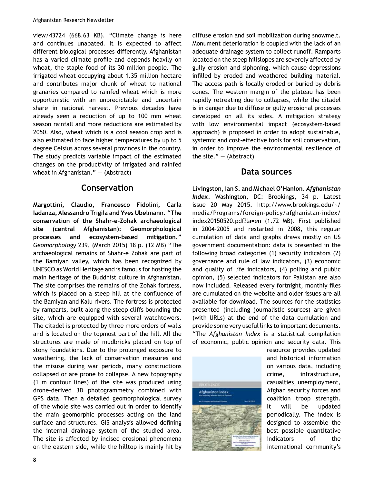[view/43724](http://www.ccsenet.org/journal/index.php/jas/article/view/43724) (668.63 KB). "Climate change is here and continues unabated. It is expected to affect different biological processes differently. Afghanistan has a varied climate profile and depends heavily on wheat, the staple food of its 30 million people. The irrigated wheat occupying about 1.35 million hectare and contributes major chunk of wheat to national granaries compared to rainfed wheat which is more opportunistic with an unpredictable and uncertain share in national harvest. Previous decades have already seen a reduction of up to 100 mm wheat season rainfall and more reductions are estimated by 2050. Also, wheat which is a cool season crop and is also estimated to face higher temperatures by up to 5 degree Celsius across several provinces in the country. The study predicts variable impact of the estimated changes on the productivity of irrigated and rainfed wheat in Afghanistan."  $-$  (Abstract)

#### **Conservation**

**Margottini, Claudio, Francesco Fidolini, Carla Iadanza, Alessandro Trigila and Yves Ubelmann. "The conservation of the Shahr-e-Zohak archaeological site (central Afghanistan): Geomorphological processes and ecosystem-based mitigation."**  *Geomorphology* 239, (March 2015) 18 p. (12 MB) "The archaeological remains of Shahr-e Zohak are part of the Bamiyan valley, which has been recognized by UNESCO as World Heritage and is famous for hosting the main heritage of the Buddhist culture in Afghanistan. The site comprises the remains of the Zohak fortress, which is placed on a steep hill at the confluence of the Bamiyan and Kalu rivers. The fortress is protected by ramparts, built along the steep cliffs bounding the site, which are equipped with several watchtowers. The citadel is protected by three more orders of walls and is located on the topmost part of the hill. All the structures are made of mudbricks placed on top of stony foundations. Due to the prolonged exposure to weathering, the lack of conservation measures and the misuse during war periods, many constructions collapsed or are prone to collapse. A new topography (1 m contour lines) of the site was produced using drone-derived 3D photogrammetry combined with GPS data. Then a detailed geomorphological survey of the whole site was carried out in order to identify the main geomorphic processes acting on the land surface and structures. GIS analysis allowed defining the internal drainage system of the studied area. The site is affected by incised erosional phenomena on the eastern side, while the hilltop is mainly hit by diffuse erosion and soil mobilization during snowmelt. Monument deterioration is coupled with the lack of an adequate drainage system to collect runoff. Ramparts located on the steep hillslopes are severely affected by gully erosion and siphoning, which cause depressions infilled by eroded and weathered building material. The access path is locally eroded or buried by debris cones. The western margin of the plateau has been rapidly retreating due to collapses, while the citadel is in danger due to diffuse or gully erosional processes developed on all its sides. A mitigation strategy with low environmental impact (ecosystem-based approach) is proposed in order to adopt sustainable, systemic and cost-effective tools for soil conservation, in order to improve the environmental resilience of the site."  $-$  (Abstract)

#### **Data sources**

**Livingston, Ian S. and Michael O'Hanlon.** *Afghanistan Index.* Washington, DC: Brookings, 34 p. Latest issue 20 May 2015. [http://www.brookings.edu/~/](http://www.brookings.edu/~/media/Programs/foreign-policy/afghanistan-index/index20150520.pdf?la=en) [media/Programs/foreign-policy/afghanistan-index/](http://www.brookings.edu/~/media/Programs/foreign-policy/afghanistan-index/index20150520.pdf?la=en) [index20150520.pdf?la=en](http://www.brookings.edu/~/media/Programs/foreign-policy/afghanistan-index/index20150520.pdf?la=en) (1.72 MB). First published in 2004-2005 and restarted in 2008, this regular cumulation of data and graphs draws mostly on US government documentation: data is presented in the following broad categories (1) security indicators (2) governance and rule of law indicators, (3) economic and quality of life indicators, (4) polling and public opinion, (5) selected indicators for Pakistan are also now included. Released every fortnight, monthly files are cumulated on the website and older issues are all available for download. The sources for the statistics presented (including journalistic sources) are given (with URLs) at the end of the data cumulation and provide some very useful links to important documents. "The *Afghanistan Index* is a statistical compilation of economic, public opinion and security data. This



resource provides updated and historical information on various data, including crime, infrastructure, casualties, unemployment, Afghan security forces and coalition troop strength. It will be updated periodically. The index is designed to assemble the best possible quantitative indicators of the international community's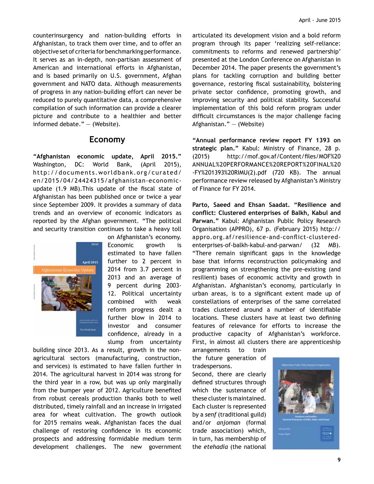counterinsurgency and nation-building efforts in Afghanistan, to track them over time, and to offer an objective set of criteria for benchmarking performance. It serves as an in-depth, non-partisan assessment of American and international efforts in Afghanistan, and is based primarily on U.S. government, Afghan government and NATO data. Although measurements of progress in any nation-building effort can never be reduced to purely quantitative data, a comprehensive compilation of such information can provide a clearer picture and contribute to a healthier and better informed debate." — (Website).

#### **Economy**

**"Afghanistan economic update, April 2015."**  Washington, DC: World Bank, (April 2015), http://documents [.worldbank.org/curated/](http://documents.worldbank.org/curated/en/2015/04/24424315/afghanistan-economic-update) [en/2015/04/24424315/afghanistan-economic](http://documents.worldbank.org/curated/en/2015/04/24424315/afghanistan-economic-update)[update](http://documents.worldbank.org/curated/en/2015/04/24424315/afghanistan-economic-update) (1.9 MB).This update of the fiscal state of Afghanistan has been published once or twice a year since September 2009. It provides a summary of data trends and an overview of economic indicators as reported by the Afghan government. "The political and security transition continues to take a heavy toll



on Afghanistan's economy. Economic growth is estimated to have fallen further to 2 percent in 2014 from 3.7 percent in 2013 and an average of 9 percent during 2003- 12. Political uncertainty combined with weak reform progress dealt a further blow in 2014 to investor and consumer confidence, already in a slump from uncertainty

building since 2013. As a result, growth in the nonagricultural sectors (manufacturing, construction, and services) is estimated to have fallen further in 2014. The agricultural harvest in 2014 was strong for the third year in a row, but was up only marginally from the bumper year of 2012. Agriculture benefited from robust cereals production thanks both to well distributed, timely rainfall and an increase in irrigated area for wheat cultivation. The growth outlook for 2015 remains weak. Afghanistan faces the dual challenge of restoring confidence in its economic prospects and addressing formidable medium term development challenges. The new government

articulated its development vision and a bold reform program through its paper 'realizing self-reliance: commitments to reforms and renewed partnership' presented at the London Conference on Afghanistan in December 2014. The paper presents the government's plans for tackling corruption and building better governance, restoring fiscal sustainability, bolstering private sector confidence, promoting growth, and improving security and political stability. Successful implementation of this bold reform program under difficult circumstances is the major challenge facing Afghanistan." — (Website)

**"Annual performance review report FY 1393 on strategic plan."** Kabul: Ministry of Finance, 28 p. (2015) http://mof.gov[.af/Content/files/MOF%20](http://mof.gov.af/Content/files/MOF%20ANNUAL%20PERFORMANCE%20REPORT%20FINAL%20-FY%201393%20RIMU(2).pdf) [ANNUAL%20PERFORMANCE%20REPORT%20FINAL%20](http://mof.gov.af/Content/files/MOF%20ANNUAL%20PERFORMANCE%20REPORT%20FINAL%20-FY%201393%20RIMU(2).pdf) [-FY%201393%20RIMU\(2\).pdf](http://mof.gov.af/Content/files/MOF%20ANNUAL%20PERFORMANCE%20REPORT%20FINAL%20-FY%201393%20RIMU(2).pdf) (720 KB). The annual performance review released by Afghanistan's Ministry of Finance for FY 2014.

**Parto, Saeed and Ehsan Saadat. "Resilience and conflict: Clustered enterprises of Balkh, Kabul and Parwan."** Kabul: Afghanistan Public Policy Research Organisation (APPRO), 67 p. (February 2015) [http://](http://appro.org.af/resilience-and-conflict-clustered-enterprises-of-balkh-kabul-and-parwan/) appro.org.af/resilience[-and-conflict-clustered](http://appro.org.af/resilience-and-conflict-clustered-enterprises-of-balkh-kabul-and-parwan/)[enterprises-of-balkh-kabul-and-parwan/](http://appro.org.af/resilience-and-conflict-clustered-enterprises-of-balkh-kabul-and-parwan/) (32 MB). "There remain significant gaps in the knowledge base that informs reconstruction policymaking and programming on strengthening the pre-existing (and resilient) bases of economic activity and growth in Afghanistan. Afghanistan's economy, particularly in urban areas, is to a significant extent made up of constellations of enterprises of the same correlated trades clustered around a number of identifiable locations. These clusters have at least two defining features of relevance for efforts to increase the productive capacity of Afghanistan's workforce. First, in almost all clusters there are apprenticeship

arrangements to train the future generation of tradespersons.

Second, there are clearly defined structures through which the sustenance of these cluster is maintained. Each cluster is represented by a *senf* (traditional guild) and/or *anjoman* (formal trade association) which, in turn, has membership of the *etehadia* (the national

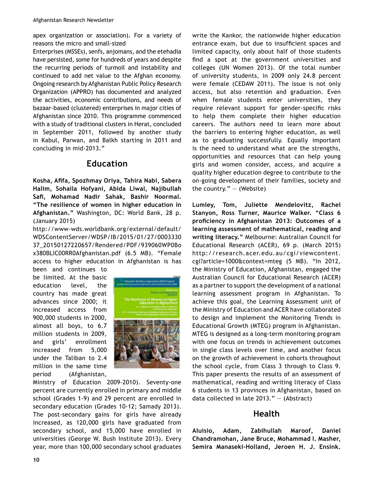apex organization or association). For a variety of reasons the micro and small-sized

Enterprises (MSSEs), senfs, anjomans, and the etehadia have persisted, some for hundreds of years and despite the recurring periods of turmoil and instability and continued to add net value to the Afghan economy. Ongoing research by Afghanistan Public Policy Research Organization (APPRO) has documented and analyzed the activities, economic contributions, and needs of bazaar-based (clustered) enterprises in major cities of Afghanistan since 2010. This programme commenced with a study of traditional clusters in Herat, concluded in September 2011, followed by another study in Kabul, Parwan, and Balkh starting in 2011 and concluding in mid-2013."

#### **Education**

**Kosha, Afifa, Spozhmay Oriya, Tahira Nabi, Sabera Halim, Sohaila Hofyani, Abida Liwal, Najibullah Safi, Mohamad Nadir Sahak, Bashir Noormal. "The resilience of women in higher education in Afghanistan."** Washington, DC: World Bank, 28 p. (January 2015)

[http://www-wds.worldbank.org/external/default/](http://www-wds.worldbank.org/external/default/WDSContentServer/WDSP/IB/2015/01/27/000333037_20150127220657/Rendered/PDF/939060WP0Box380BLIC00RR0Afghanistan.pdf) [WDSContentServer/WDSP/IB/2015/01/27/0003330](http://www-wds.worldbank.org/external/default/WDSContentServer/WDSP/IB/2015/01/27/000333037_20150127220657/Rendered/PDF/939060WP0Box380BLIC00RR0Afghanistan.pdf) [37\\_20150127220657/Rendered/PDF/939060WP0Bo](http://www-wds.worldbank.org/external/default/WDSContentServer/WDSP/IB/2015/01/27/000333037_20150127220657/Rendered/PDF/939060WP0Box380BLIC00RR0Afghanistan.pdf) [x380BLIC00RR0Afghanistan.pdf](http://www-wds.worldbank.org/external/default/WDSContentServer/WDSP/IB/2015/01/27/000333037_20150127220657/Rendered/PDF/939060WP0Box380BLIC00RR0Afghanistan.pdf) (6.5 MB). "Female access to higher education in Afghanistan is has

been and continues to be limited. At the basic education level, the country has made great advances since 2000; it increased access from 900,000 students in 2000, almost all boys, to 6.7 million students in 2009, and girls' enrollment increased from 5,000 under the Taliban to 2.4 million in the same time period (Afghanistan,



Ministry of Education 2009-2010). Seventy-one percent are currently enrolled in primary and middle school (Grades 1-9) and 29 percent are enrolled in secondary education (Grades 10-12; Samady 2013). The post-secondary gains for girls have already increased, as 120,000 girls have graduated from secondary school, and 15,000 have enrolled in universities (George W. Bush Institute 2013). Every year, more than 100,000 secondary school graduates write the Kankor, the nationwide higher education entrance exam, but due to insufficient spaces and limited capacity, only about half of those students find a spot at the government universities and colleges (UN Women 2013). Of the total number of university students, in 2009 only 24.8 percent were female (CEDAW 2011). The issue is not only access, but also retention and graduation. Even when female students enter universities, they require relevant support for gender-specific risks to help them complete their higher education careers. The authors need to learn more about the barriers to entering higher education, as well as to graduating successfully. Equally important is the need to understand what are the strengths, opportunities and resources that can help young girls and women consider, access, and acquire a quality higher education degree to contribute to the on-going development of their families, society and the country."  $-$  (Website)

**Lumley, Tom, Juliette Mendelovitz, Rachel Stanyon, Ross Turner, Maurice Walker. "Class 6 proficiency in Afghanistan 2013: Outcomes of a learning assessment of mathematical, reading and writing literacy."** Melbourne: Australian Council for Educational Research (ACER), 69 p. (March 2015) [http://research.acer.edu.au/cgi/viewcontent.](http://research.acer.edu.au/cgi/viewcontent.cgi?article=1000&context=mteg) [cgi?article=1000&context=mteg](http://research.acer.edu.au/cgi/viewcontent.cgi?article=1000&context=mteg) (5 MB). "In 2012, the Ministry of Education, Afghanistan, engaged the Australian Council for Educational Research (ACER) as a partner to support the development of a national learning assessment program in Afghanistan. To achieve this goal, the Learning Assessment unit of the Ministry of Education and ACER have collaborated to design and implement the Monitoring Trends in Educational Growth (MTEG) program in Afghanistan. MTEG is designed as a long-term monitoring program with one focus on trends in achievement outcomes in single class levels over time, and another focus on the growth of achievement in cohorts throughout the school cycle, from Class 3 through to Class 9. This paper presents the results of an assessment of mathematical, reading and writing literacy of Class 6 students in 13 provinces in Afghanistan, based on data collected in late 2013." — (Abstract)

#### **Health**

**Aluisio, Adam, Zabihullah Maroof, Daniel Chandramohan, Jane Bruce, Mohammad I. Masher, Semira Manaseki-Holland, Jeroen H. J. Ensink.**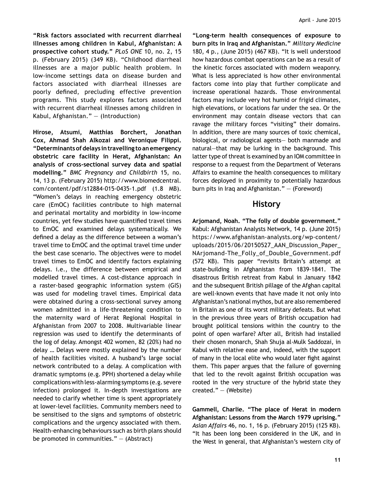**"Risk factors associated with recurrent diarrheal illnesses among children in Kabul, Afghanistan: A prospective cohort study."** *PLoS ONE* 10, no. 2, 15 p. (February 2015) (349 KB). "Childhood diarrheal illnesses are a major public health problem. In low-income settings data on disease burden and factors associated with diarrheal illnesses are poorly defined, precluding effective prevention programs. This study explores factors associated with recurrent diarrheal illnesses among children in Kabul, Afghanistan." — (Introduction)

**Hirose, Atsumi, Matthias Borchert, Jonathan Cox, Ahmad Shah Alkozai and Veronique Filippi. "Determinants of delays in travelling to an emergency obstetric care facility in Herat, Afghanistan: An analysis of cross-sectional survey data and spatial modelling."** *BMC Pregnancy and Childbirth* 15, no. 14, 13 p. (February 2015) [http://www.biomedcentral.](http://www.biomedcentral.com/content/pdf/s12884-015-0435-1.pdf) [com/content/pdf/s12884-015-0435-1.pdf](http://www.biomedcentral.com/content/pdf/s12884-015-0435-1.pdf) (1.8 MB). "Women's delays in reaching emergency obstetric care (EmOC) facilities contribute to high maternal and perinatal mortality and morbidity in low-income countries, yet few studies have quantified travel times to EmOC and examined delays systematically. We defined a delay as the difference between a woman's travel time to EmOC and the optimal travel time under the best case scenario. The objectives were to model travel times to EmOC and identify factors explaining delays. i.e., the difference between empirical and modelled travel times. A cost-distance approach in a raster-based geographic information system (GIS) was used for modeling travel times. Empirical data were obtained during a cross-sectional survey among women admitted in a life-threatening condition to the maternity ward of Herat Regional Hospital in Afghanistan from 2007 to 2008. Multivariable linear regression was used to identify the determinants of the log of delay. Amongst 402 women, 82 (20%) had no delay … Delays were mostly explained by the number of health facilities visited. A husband's large social network contributed to a delay. A complication with dramatic symptoms (e.g. PPH) shortened a delay while complications with less-alarming symptoms (e.g. severe infection) prolonged it. In-depth investigations are needed to clarify whether time is spent appropriately at lower-level facilities. Community members need to be sensitised to the signs and symptoms of obstetric complications and the urgency associated with them. Health-enhancing behaviours such as birth plans should be promoted in communities."  $-$  (Abstract)

**"Long-term health consequences of exposure to burn pits in Iraq and Afghanistan."** *Military Medicine*  180, 4 p., (June 2015) (467 KB). "It is well understood how hazardous combat operations can be as a result of the kinetic forces associated with modern weaponry. What is less appreciated is how other environmental factors come into play that further complicate and increase operational hazards. Those environmental factors may include very hot humid or frigid climates, high elevations, or locations far under the sea. Or the environment may contain disease vectors that can ravage the military forces "visiting" their domains. In addition, there are many sources of toxic chemical, biological, or radiological agents— both manmade and natural—that may be lurking in the background. This latter type of threat is examined by an IOM committee in response to a request from the Department of Veterans Affairs to examine the health consequences to military forces deployed in proximity to potentially hazardous burn pits in Iraq and Afghanistan." — (Foreword)

#### **History**

**Arjomand, Noah. "The folly of double government."** Kabul: Afghanistan Analysts Network, 14 p. (June 2015) [https://www.afghanistan-analysts.org/wp-content/](https://www.afghanistan-analysts.org/wp-content/uploads/2015/06/20150527_AAN_Discussion_Paper_NArjomand-The_Folly_of_Double_Government.pdf) [uploads/2015/06/20150527\\_AAN\\_Discussion\\_Paper\\_](https://www.afghanistan-analysts.org/wp-content/uploads/2015/06/20150527_AAN_Discussion_Paper_NArjomand-The_Folly_of_Double_Government.pdf) [NArjomand-The\\_Folly\\_of\\_Double\\_Government.pdf](https://www.afghanistan-analysts.org/wp-content/uploads/2015/06/20150527_AAN_Discussion_Paper_NArjomand-The_Folly_of_Double_Government.pdf) (572 KB). This paper "revisits Britain's attempt at state-building in Afghanistan from 1839-1841. The disastrous British retreat from Kabul in January 1842 and the subsequent British pillage of the Afghan capital are well-known events that have made it not only into Afghanistan's national mythos, but are also remembered in Britain as one of its worst military defeats. But what in the previous three years of British occupation had brought political tensions within the country to the point of open warfare? After all, British had installed their chosen monarch, Shah Shuja al-Mulk Saddozai, in Kabul with relative ease and, indeed, with the support of many in the local elite who would later fight against them. This paper argues that the failure of governing that led to the revolt against British occupation was rooted in the very structure of the hybrid state they created." — (Website)

**Gammell, Charlie. "The place of Herat in modern Afghanistan: Lessons from the March 1979 uprising."**  *Asian Affairs* 46, no. 1, 16 p. (February 2015) (125 KB). "It has been long been considered in the UK, and in the West in general, that Afghanistan's western city of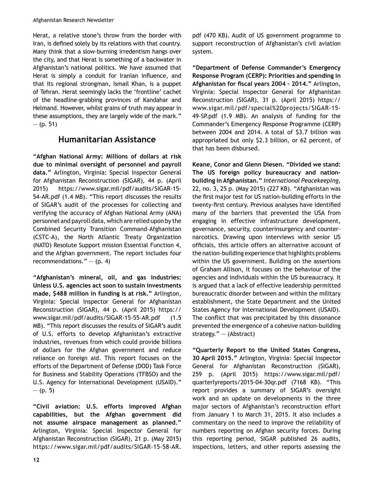Herat, a relative stone's throw from the border with Iran, is defined solely by its relations with that country. Many think that a slow-burning irredentism hangs over the city, and that Herat is something of a backwater in Afghanistan's national politics. We have assumed that Herat is simply a conduit for Iranian influence, and that its regional strongman, Ismail Khan, is a puppet of Tehran. Herat seemingly lacks the 'frontline' cachet of the headline-grabbing provinces of Kandahar and Helmand. However, whilst grains of truth may appear in these assumptions, they are largely wide of the mark."  $-$  (p. 51)

#### **Humanitarian Assistance**

**"Afghan National Army: Millions of dollars at risk due to minimal oversight of personnel and payroll data."** Arlington, Virginia: Special Inspector General for Afghanistan Reconstruction (SIGAR), 44 p. (April 2015) [https://www.sigar.mil/pdf/audits/SIGAR-15-](https://www.sigar.mil/pdf/audits/SIGAR-15-54-AR.pdf) [54-AR.pdf](https://www.sigar.mil/pdf/audits/SIGAR-15-54-AR.pdf) (1.4 MB). "This report discusses the results of SIGAR's audit of the processes for collecting and verifying the accuracy of Afghan National Army (ANA) personnel and payroll data, which are relied upon by the Combined Security Transition Command–Afghanistan (CSTC-A), the North Atlantic Treaty Organization (NATO) Resolute Support mission Essential Function 4, and the Afghan government. The report includes four recommendations."  $-$  (p. 4)

**"Afghanistan's mineral, oil, and gas industries: Unless U.S. agencies act soon to sustain investments made, \$488 million in funding is at risk."** Arlington, Virginia: Special Inspector General for Afghanistan Reconstruction (SIGAR), 44 p. (April 2015) [https://](https://www.sigar.mil/pdf/audits/SIGAR-15-55-AR.pdf) [www.sigar.mil/pdf/audits/SIGAR-15-55-AR.pdf](https://www.sigar.mil/pdf/audits/SIGAR-15-55-AR.pdf) (1.5 MB). "This report discusses the results of SIGAR's audit of U.S. efforts to develop Afghanistan's extractive industries, revenues from which could provide billions of dollars for the Afghan government and reduce reliance on foreign aid. This report focuses on the efforts of the Department of Defense (DOD) Task Force for Business and Stability Operations (TFBSO) and the U.S. Agency for International Development (USAID)."  $-$  (p. 5)

**"Civil aviation: U.S. efforts improved Afghan capabilities, but the Afghan government did not assume airspace management as planned."**  Arlington, Virginia: Special Inspector General for Afghanistan Reconstruction (SIGAR), 21 p. (May 2015) [https://www.sigar.mil/pdf/audits/SIGAR-15-58-AR.](https://www.sigar.mil/pdf/audits/SIGAR-15-58-AR.pdf)

[pdf](https://www.sigar.mil/pdf/audits/SIGAR-15-58-AR.pdf) (470 KB). Audit of US government programme to support reconstruction of Afghanistan's civil aviation system.

**"Department of Defense Commander's Emergency Response Program (CERP): Priorities and spending in Afghanistan for fiscal years 2004 – 2014."** Arlington, Virginia: Special Inspector General for Afghanistan Reconstruction (SIGAR), 31 p. (April 2015) [https://](https://www.sigar.mil/pdf/special%20projects/SIGAR-15-49-SP.pdf) [www.sigar.mil/pdf/special%20projects/SIGAR-15-](https://www.sigar.mil/pdf/special%20projects/SIGAR-15-49-SP.pdf) [49-SP.pdf](https://www.sigar.mil/pdf/special%20projects/SIGAR-15-49-SP.pdf) (1.9 MB). An analysis of funding for the Commander's Emergency Response Programme (CERP) between 2004 and 2014. A total of \$3.7 billion was appropriated but only \$2.3 billion, or 62 percent, of that has been disbursed.

**Keane, Conor and Glenn Diesen. "Divided we stand: The US foreign policy bureaucracy and nationbuilding in Afghanistan."** *International Peacekeeping,* 22, no. 3, 25 p. (May 2015) (227 KB). "Afghanistan was the first major test for US nation-building efforts in the twenty-first century. Previous analyses have identified many of the barriers that prevented the USA from engaging in effective infrastructure development, governance, security, counterinsurgency and counternarcotics. Drawing upon interviews with senior US officials, this article offers an alternative account of the nation-building experience that highlights problems within the US government. Building on the assertions of Graham Allison, it focuses on the behaviour of the agencies and individuals within the US bureaucracy. It is argued that a lack of effective leadership permitted bureaucratic disorder between and within the military establishment, the State Department and the United States Agency for International Development (USAID). The conflict that was precipitated by this dissonance prevented the emergence of a cohesive nation-building strategy."  $-$  (Abstract)

**"Quarterly Report to the United States Congress, 30 April 2015."** Arlington, Virginia: Special Inspector General for Afghanistan Reconstruction (SIGAR), 259 p. (April 2015) [https://www.sigar.mil/pdf/](https://www.sigar.mil/pdf/quarterlyreports/2015-04-30qr.pdf) [quarterlyreports/2015-04-30qr.pdf](https://www.sigar.mil/pdf/quarterlyreports/2015-04-30qr.pdf) (7168 KB). "This report provides a summary of SIGAR's oversight work and an update on developments in the three major sectors of Afghanistan's reconstruction effort from January 1 to March 31, 2015. It also includes a commentary on the need to improve the reliability of numbers reporting on Afghan security forces. During this reporting period, SIGAR published 26 audits, inspections, letters, and other reports assessing the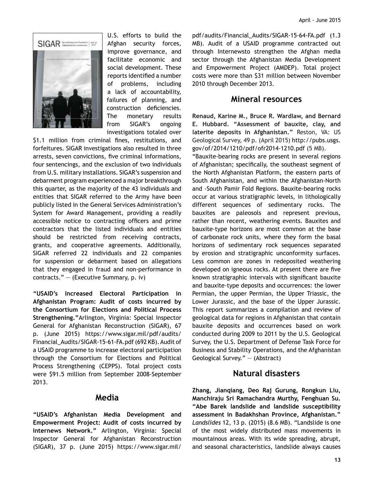

U.S. efforts to build the Afghan security forces, improve governance, and facilitate economic and social development. These reports identified a number of problems, including a lack of accountability, failures of planning, and construction deficiencies. The monetary results from SIGAR's ongoing investigations totaled over

\$1.1 million from criminal fines, restitutions, and forfeitures. SIGAR investigations also resulted in three arrests, seven convictions, five criminal informations, four sentencings, and the exclusion of two individuals from U.S. military installations. SIGAR's suspension and debarment program experienced a major breakthrough this quarter, as the majority of the 43 individuals and entities that SIGAR referred to the Army have been publicly listed in the General Services Administration's System for Award Management, providing a readily accessible notice to contracting officers and prime contractors that the listed individuals and entities should be restricted from receiving contracts, grants, and cooperative agreements. Additionally, SIGAR referred 22 individuals and 22 companies for suspension or debarment based on allegations that they engaged in fraud and non-performance in contracts."  $-$  (Executive Summary, p. iv)

**"USAID's Increased Electoral Participation in Afghanistan Program: Audit of costs incurred by the Consortium for Elections and Political Process Strengthening."**Arlington, Virginia: Special Inspector General for Afghanistan Reconstruction (SIGAR), 67 p. (June 2015) [https://www.sigar.mil/pdf/audits/](https://www.sigar.mil/pdf/audits/Financial_Audits/SIGAR-15-61-FA.pdf) [Financial\\_Audits/SIGAR-15-61-FA.pdf](https://www.sigar.mil/pdf/audits/Financial_Audits/SIGAR-15-61-FA.pdf) (692 KB). Audit of a USAID programme to increase electoral participation through the Consortium for Elections and Political Process Strengthening (CEPPS). Total project costs were \$91.5 million from September 2008-September 2013.

#### **Media**

**"USAID's Afghanistan Media Development and Empowerment Project: Audit of costs incurred by Internews Network."** Arlington, Virginia: Special Inspector General for Afghanistan Reconstruction (SIGAR), 37 p. (June 2015) [https://www.sigar.mil/](https://www.sigar.mil/pdf/audits/Financial_Audits/SIGAR-15-64-FA.pdf)

[pdf/audits/Financial\\_Audits/SIGAR-15-64-FA.pdf](https://www.sigar.mil/pdf/audits/Financial_Audits/SIGAR-15-64-FA.pdf) (1.3 MB). Audit of a USAID programme contracted out through Internewsto strengthen the Afghan media sector through the Afghanistan Media Development and Empowerment Project (AMDEP). Total project costs were more than \$31 million between November 2010 through December 2013.

#### **Mineral resources**

**Renaud, Karine M., Bruce R. Wardlaw, and Bernard E. Hubbard. "Assessment of bauxite, clay, and laterite deposits in Afghanistan."** Reston, VA: US Geological Survey, 49 p. (April 2015) [http://pubs.usgs.](http://pubs.usgs.gov/of/2014/1210/pdf/ofr2014-1210.pdf) [gov/of/2014/1210/pdf/ofr2014-1210.pdf](http://pubs.usgs.gov/of/2014/1210/pdf/ofr2014-1210.pdf) (5 MB).

"Bauxite-bearing rocks are present in several regions of Afghanistan; specifically, the southeast segment of the North Afghanistan Platform, the eastern parts of South Afghanistan, and within the Afghanistan-North and -South Pamir Fold Regions. Bauxite-bearing rocks occur at various stratigraphic levels, in lithologically different sequences of sedimentary rocks. The bauxites are paleosols and represent previous, rather than recent, weathering events. Bauxites and bauxite-type horizons are most common at the base of carbonate rock units, where they form the basal horizons of sedimentary rock sequences separated by erosion and stratigraphic unconformity surfaces. Less common are zones in redeposited weathering developed on igneous rocks. At present there are five known stratigraphic intervals with significant bauxite and bauxite-type deposits and occurrences: the lower Permian, the upper Permian, the Upper Triassic, the Lower Jurassic, and the base of the Upper Jurassic. This report summarizes a compilation and review of geological data for regions in Afghanistan that contain bauxite deposits and occurrences based on work conducted during 2009 to 2011 by the U.S. Geological Survey, the U.S. Department of Defense Task Force for Business and Stability Operations, and the Afghanistan Geological Survey." — (Abstract)

#### **Natural disasters**

**Zhang, Jianqiang, Deo Raj Gurung, Rongkun Liu, Manchiraju Sri Ramachandra Murthy, Fenghuan Su. "Abe Barek landslide and landslide susceptibility assessment in Badakhshan Province, Afghanistan."**  *Landslides* 12, 13 p. (2015) (8.6 MB). "Landslide is one of the most widely distributed mass movements in mountainous areas. With its wide spreading, abrupt, and seasonal characteristics, landslide always causes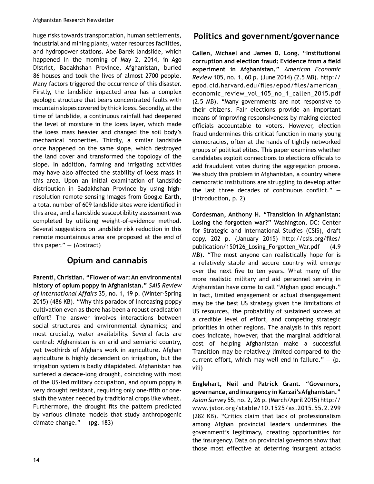huge risks towards transportation, human settlements, industrial and mining plants, water resources facilities, and hydropower stations. Abe Barek landslide, which happened in the morning of May 2, 2014, in Ago District, Badakhshan Province, Afghanistan, buried 86 houses and took the lives of almost 2700 people. Many factors triggered the occurrence of this disaster. Firstly, the landslide impacted area has a complex geologic structure that bears concentrated faults with mountain slopes covered by thick loess. Secondly, at the time of landslide, a continuous rainfall had deepened the level of moisture in the loess layer, which made the loess mass heavier and changed the soil body's mechanical properties. Thirdly, a similar landslide once happened on the same slope, which destroyed the land cover and transformed the topology of the slope. In addition, farming and irrigating activities may have also affected the stability of loess mass in this area. Upon an initial examination of landslide distribution in Badakhshan Province by using highresolution remote sensing images from Google Earth, a total number of 609 landslide sites were identified in this area, and a landslide susceptibility assessment was completed by utilizing weight-of-evidence method. Several suggestions on landslide risk reduction in this remote mountainous area are proposed at the end of this paper."  $-$  (Abstract)

#### **Opium and cannabis**

**Parenti, Christian. "Flower of war: An environmental history of opium poppy in Afghanistan."** *SAIS Review of International Affairs* 35, no. 1, 19 p. (Winter-Spring 2015) (486 KB). "Why this paradox of increasing poppy cultivation even as there has been a robust eradication effort? The answer involves interactions between social structures and environmental dynamics; and most crucially, water availability. Several facts are central: Afghanistan is an arid and semiarid country, yet twothirds of Afghans work in agriculture. Afghan agriculture is highly dependent on irrigation, but the irrigation system is badly dilapidated. Afghanistan has suffered a decade-long drought, coinciding with most of the US-led military occupation, and opium poppy is very drought resistant, requiring only one-fifth or onesixth the water needed by traditional crops like wheat. Furthermore, the drought fits the pattern predicted by various climate models that study anthropogenic climate change."  $-$  (pg. 183)

#### **Politics and government/governance**

**Callen, Michael and James D. Long. "Institutional corruption and election fraud: Evidence from a field experiment in Afghanistan."** *American Economic Review* 105, no. 1, 60 p. (June 2014) (2.5 MB). [http://](http://epod.cid.harvard.edu/files/epod/files/american_economic_review_vol_105_no_1_callen_2015.pdf) epod.cid.harvard[.edu/files/epod/files/american\\_](http://epod.cid.harvard.edu/files/epod/files/american_economic_review_vol_105_no_1_callen_2015.pdf) [economic\\_review\\_vol\\_105\\_no\\_1\\_callen\\_2015.pdf](http://epod.cid.harvard.edu/files/epod/files/american_economic_review_vol_105_no_1_callen_2015.pdf) (2.5 MB). "Many governments are not responsive to their citizens. Fair elections provide an important means of improving responsiveness by making elected officials accountable to voters. However, election fraud undermines this critical function in many young democracies, often at the hands of tightly networked groups of political elites. This paper examines whether candidates exploit connections to elections officials to add fraudulent votes during the aggregation process. We study this problem in Afghanistan, a country where democratic institutions are struggling to develop after the last three decades of continuous conflict." — (Introduction, p. 2)

**Cordesman, Anthony H. "Transition in Afghanistan: Losing the forgotten war?"** Washington, DC: Center for Strategic and International Studies (CSIS), draft copy, 202 p. (January 2015) [http://csis.org/files/](http://csis.org/files/publication/150126_Losing_Forgotten_War.pdf) [publication/150126\\_Losing\\_Forgotten\\_War.pdf](http://csis.org/files/publication/150126_Losing_Forgotten_War.pdf) (4.9 MB). "The most anyone can realistically hope for is a relatively stable and secure country will emerge over the next five to ten years. What many of the more realistic military and aid personnel serving in Afghanistan have come to call "Afghan good enough." In fact, limited engagement or actual disengagement may be the best US strategy given the limitations of US resources, the probability of sustained success at a credible level of effort, and competing strategic priorities in other regions. The analysis in this report does indicate, however, that the marginal additional cost of helping Afghanistan make a successful Transition may be relatively limited compared to the current effort, which may well end in failure."  $-$  (p. viii)

**Englehart, Neil and Patrick Grant. "Governors, governance, and insurgency in Karzai's Afghanistan."**  *Asian Survey* 55, no. 2, 26 p. (March/April 2015) [http://](http://www.jstor.org/stable/10.1525/as.2015.55.2.299) [www.jstor.org/stable/10.1525/as.2015.55.2.299](http://www.jstor.org/stable/10.1525/as.2015.55.2.299)  (282 KB). "Critics claim that lack of professionalism among Afghan provincial leaders undermines the government's legitimacy, creating opportunities for the insurgency. Data on provincial governors show that those most effective at deterring insurgent attacks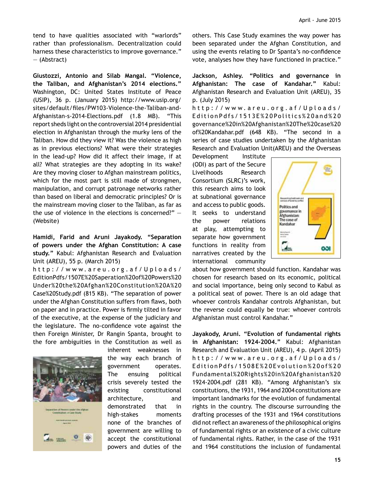tend to have qualities associated with "warlords" rather than professionalism. Decentralization could harness these characteristics to improve governance." — (Abstract)

**Giustozzi, Antonio and Silab Mangal. "Violence, the Taliban, and Afghanistan's 2014 elections."**  Washington, DC: United States Institute of Peace (USIP), 36 p. (January 2015) [http://www.usip.org/](http://www.usip.org/sites/default/files/PW103-Violence-the-Taliban-and-Afghanistan-s-2014-Elections.pdf) [sites/default/files/PW103-Violence-the-Taliban-and](http://www.usip.org/sites/default/files/PW103-Violence-the-Taliban-and-Afghanistan-s-2014-Elections.pdf)-[Afghanistan-s-2014-Elections.pdf](http://www.usip.org/sites/default/files/PW103-Violence-the-Taliban-and-Afghanistan-s-2014-Elections.pdf) (1.8 MB). "This report sheds light on the controversial 2014 presidential election in Afghanistan through the murky lens of the Taliban. How did they view it? Was the violence as high as in previous elections? What were their strategies in the lead-up? How did it affect their image, if at all? What strategies are they adopting in its wake? Are they moving closer to Afghan mainstream politics, which for the most part is still made of strongmen, manipulation, and corrupt patronage networks rather than based on liberal and democratic principles? Or is the mainstream moving closer to the Taliban, as far as the use of violence in the elections is concerned?" — (Website)

**Hamidi, Farid and Aruni Jayakody. "Separation of powers under the Afghan Constitution: A case study."** Kabul: Afghanistan Research and Evaluation Unit (AREU), 55 p. (March 2015)

[http://www.areu.org.af/Uploads](http://www.areu.org.af/Uploads/EditionPdfs/1507E%20Saperation%20of%20Powers%20Under%20the%20Afghan%20Constitution%20A%20Case%20Study.pdf) / [EditionPdfs/1507E%20Saperation%20of%20Powers%20](http://www.areu.org.af/Uploads/EditionPdfs/1507E%20Saperation%20of%20Powers%20Under%20the%20Afghan%20Constitution%20A%20Case%20Study.pdf) [Under%20the%20Afghan%20Constitution%20A%20](http://www.areu.org.af/Uploads/EditionPdfs/1507E%20Saperation%20of%20Powers%20Under%20the%20Afghan%20Constitution%20A%20Case%20Study.pdf) [Case%20Study.pdf](http://www.areu.org.af/Uploads/EditionPdfs/1507E%20Saperation%20of%20Powers%20Under%20the%20Afghan%20Constitution%20A%20Case%20Study.pdf) (815 KB). "The separation of power under the Afghan Constitution suffers from flaws, both on paper and in practice. Power is firmly tilted in favor of the executive, at the expense of the judiciary and the legislature. The no-confidence vote against the then Foreign Minister, Dr Rangin Spanta, brought to the fore ambiguities in the Constitution as well as



inherent weaknesses in the way each branch of government operates. The ensuing political crisis severely tested the existing constitutional architecture, and demonstrated that in high-stakes moments none of the branches of government are willing to accept the constitutional powers and duties of the

others. This Case Study examines the way power has been separated under the Afghan Constitution, and using the events relating to Dr Spanta's no-confidence vote, analyses how they have functioned in practice."

**Jackson, Ashley. "Politics and governance in Afghanistan: The case of Kandahar."** Kabul: Afghanistan Research and Evaluation Unit (AREU), 35 p. (July 2015)

[http://www.areu.org.af/Uploads/](http://www.areu.org.af/Uploads/EditionPdfs/1513E%20Politics%20and%20governance%20in%20Afghanistan%20The%20case%20of%20Kandahar.pdf) EditionPdfs [/1513E%20Politics%20and%20](http://www.areu.org.af/Uploads/EditionPdfs/1513E%20Politics%20and%20governance%20in%20Afghanistan%20The%20case%20of%20Kandahar.pdf) [governance%20in%20Afghanistan%20The%20case%20](http://www.areu.org.af/Uploads/EditionPdfs/1513E%20Politics%20and%20governance%20in%20Afghanistan%20The%20case%20of%20Kandahar.pdf) [of%20Kandahar.pdf](http://www.areu.org.af/Uploads/EditionPdfs/1513E%20Politics%20and%20governance%20in%20Afghanistan%20The%20case%20of%20Kandahar.pdf) (648 KB). "The second in a series of case studies undertaken by the Afghanistan Research and Evaluation Unit(AREU) and the Overseas

Development Institute (ODI) as part of the Secure Livelihoods Research Consortium (SLRC)'s work, this research aims to look at subnational governance and access to public goods. It seeks to understand the power relations at play, attempting to separate how government functions in reality from narratives created by the international community



about how government should function. Kandahar was chosen for research based on its economic, political and social importance, being only second to Kabul as a political seat of power. There is an old adage that whoever controls Kandahar controls Afghanistan, but the reverse could equally be true: whoever controls Afghanistan must control Kandahar."

**Jayakody, Aruni. "Evolution of fundamental rights in Afghanistan: 1924-2004."** Kabul: Afghanistan Research and Evaluation Unit (AREU), 4 p. (April 2015) http://www.areu [.org.af/Uploads/](http://www.areu.org.af/Uploads/EditionPdfs/1508E%20Evolution%20of%20Fundamental%20Rights%20in%20Afghanistan%201924-2004.pdf) [EditionPdfs/1508E%20Evolution%20of%20](http://www.areu.org.af/Uploads/EditionPdfs/1508E%20Evolution%20of%20Fundamental%20Rights%20in%20Afghanistan%201924-2004.pdf) [Fundamental%20Rights%20in%20Afghanistan%20](http://www.areu.org.af/Uploads/EditionPdfs/1508E%20Evolution%20of%20Fundamental%20Rights%20in%20Afghanistan%201924-2004.pdf) [1924-2004.pdf](http://www.areu.org.af/Uploads/EditionPdfs/1508E%20Evolution%20of%20Fundamental%20Rights%20in%20Afghanistan%201924-2004.pdf) (281 KB). "Among Afghanistan's six constitutions, the 1931, 1964 and 2004 constitutions are important landmarks for the evolution of fundamental rights in the country. The discourse surrounding the drafting processes of the 1931 and 1964 constitutions did not reflect an awareness of the philosophical origins of fundamental rights or an existence of a civic culture of fundamental rights. Rather, in the case of the 1931 and 1964 constitutions the inclusion of fundamental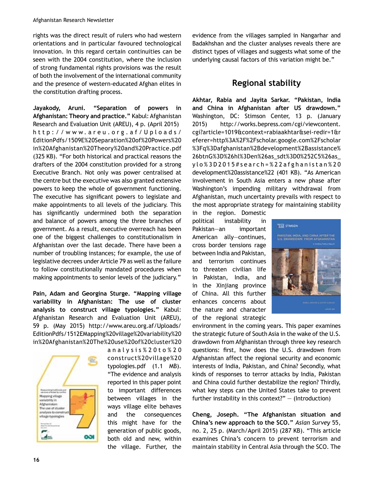rights was the direct result of rulers who had western orientations and in particular favoured technological innovation. In this regard certain continuities can be seen with the 2004 constitution, where the inclusion of strong fundamental rights provisions was the result of both the involvement of the international community and the presence of western-educated Afghan elites in the constitution drafting process.

**Jayakody, Aruni. "Separation of powers in Afghanistan: Theory and practice."** Kabul: Afghanistan Research and Evaluation Unit (AREU), 4 p. (April 2015) http://www [.areu.org.af/Uploads/](http://www.areu.org.af/Uploads/EditionPdfs/1509E%20Separation%20of%20Powers%20in%20Afghanistan%20Theory%20and%20Practice.pdf) [EditionPdfs/1509E%20Separation%20of%20Powers%20](http://www.areu.org.af/Uploads/EditionPdfs/1509E%20Separation%20of%20Powers%20in%20Afghanistan%20Theory%20and%20Practice.pdf) [in%20Afghanistan%20Theory%20and%20Practice.pdf](http://www.areu.org.af/Uploads/EditionPdfs/1509E%20Separation%20of%20Powers%20in%20Afghanistan%20Theory%20and%20Practice.pdf) (325 KB). "For both historical and practical reasons the drafters of the 2004 constitution provided for a strong Executive Branch. Not only was power centralised at the centre but the executive was also granted extensive powers to keep the whole of government functioning. The executive has significant powers to legislate and make appointments to all levels of the judiciary. This has significantly undermined both the separation and balance of powers among the three branches of government. As a result, executive overreach has been one of the biggest challenges to constitutionalism in Afghanistan over the last decade. There have been a number of troubling instances; for example, the use of legislative decrees under Article 79 as well as the failure to follow constitutionally mandated procedures when making appointments to senior levels of the judiciary."

**Pain, Adam and Georgina Sturge. "Mapping village variability in Afghanistan: The use of cluster analysis to construct village typologies."** Kabul: Afghanistan Research and Evaluation Unit (AREU), 59 p. (May 2015) [http://www.areu.org.af/Uploads/](http://www.areu.org.af/Uploads/EditionPdfs/1512EMapping%20village%20variability%20in%20Afghanistan%20The%20use%20of%20cluster%20analysis%20to%20construct%20village%20typologies.pdf) [EditionPdfs/1512EMapping%20village%20variability%20](http://www.areu.org.af/Uploads/EditionPdfs/1512EMapping%20village%20variability%20in%20Afghanistan%20The%20use%20of%20cluster%20analysis%20to%20construct%20village%20typologies.pdf) [in%20Afghanistan%20The%20use%20of%20cluster%20](http://www.areu.org.af/Uploads/EditionPdfs/1512EMapping%20village%20variability%20in%20Afghanistan%20The%20use%20of%20cluster%20analysis%20to%20construct%20village%20typologies.pdf)



[analysis%20to%20](http://www.areu.org.af/Uploads/EditionPdfs/1512EMapping%20village%20variability%20in%20Afghanistan%20The%20use%20of%20cluster%20analysis%20to%20construct%20village%20typologies.pdf) [construct%20village%20](http://www.areu.org.af/Uploads/EditionPdfs/1512EMapping%20village%20variability%20in%20Afghanistan%20The%20use%20of%20cluster%20analysis%20to%20construct%20village%20typologies.pdf) [typologies.pdf](http://www.areu.org.af/Uploads/EditionPdfs/1512EMapping%20village%20variability%20in%20Afghanistan%20The%20use%20of%20cluster%20analysis%20to%20construct%20village%20typologies.pdf) (1.1 MB). "The evidence and analysis reported in this paper point to important differences between villages in the ways village elite behaves and the consequences this might have for the generation of public goods, both old and new, within the village. Further, the

evidence from the villages sampled in Nangarhar and Badakhshan and the cluster analyses reveals there are distinct types of villages and suggests what some of the underlying causal factors of this variation might be."

#### **Regional stability**

**Akhtar, Rabia and Jayita Sarkar. "Pakistan, India and China in Afghanistan after US drawdown."**  Washington, DC: Stimson Center, 13 p. (January 2015) http://works.bepress.com/cgi/viewcontent. cgi?article=1019&context=rabiaakhtar&sei-redir=1&r eferer=http%3A%2F%2Fscholar.google.com%2Fscholar %3Fq%3Dafghanistan%2Bdevelopment%2Bassistance% 26btnG%3D%26hl%3Den%26as\_sdt%3D0%252C5%26as\_ ylo%3D2015#search=%22afghanistan%20 development%20assistance%22 (401 KB). "As American involvement in South Asia enters a new phase after Washington's impending military withdrawal from Afghanistan, much uncertainty prevails with respect to the most appropriate strategy for maintaining stability

in the region. Domestic political instability in Pakistan—an important American ally—continues, cross border tensions rage between India and Pakistan, and terrorism continues to threaten civilian life in Pakistan, India, and in the Xinjiang province of China. All this further enhances concerns about the nature and character of the regional strategic



environment in the coming years. This paper examines the strategic future of South Asia in the wake of the U.S. drawdown from Afghanistan through three key research questions: first, how does the U.S. drawdown from Afghanistan affect the regional security and economic interests of India, Pakistan, and China? Secondly, what kinds of responses to terror attacks by India, Pakistan and China could further destabilize the region? Thirdly, what key steps can the United States take to prevent further instability in this context?"  $-$  (Introduction)

**Cheng, Joseph. "The Afghanistan situation and China's new approach to the SCO."** *Asian Survey* 55, no. 2, 25 p. (March/April 2015) (287 KB). "This article examines China's concern to prevent terrorism and maintain stability in Central Asia through the SCO. The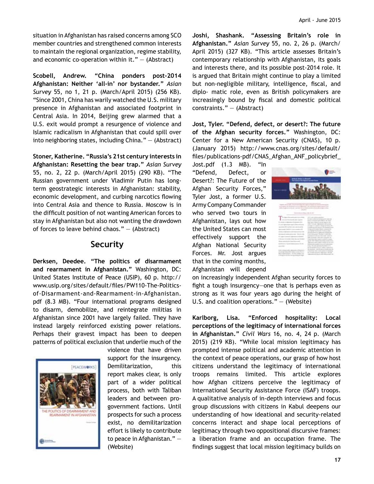situation in Afghanistan has raised concerns among SCO member countries and strengthened common interests to maintain the regional organization, regime stability, and economic co-operation within it."  $-$  (Abstract)

**Scobell, Andrew. "China ponders post-2014 Afghanistan: Neither 'all-in' nor bystander."** *Asian Survey* 55, no 1, 21 p. (March/April 2015) (256 KB). "Since 2001, China has warily watched the U.S. military presence in Afghanistan and associated footprint in Central Asia. In 2014, Beijing grew alarmed that a U.S. exit would prompt a resurgence of violence and Islamic radicalism in Afghanistan that could spill over into neighboring states, including China." — (Abstract)

**Stoner, Katherine. "Russia's 21st century interests in Afghanistan: Resetting the bear trap."** *Asian Survey*  55, no. 2, 22 p. (March/April 2015) (290 KB). "The Russian government under Vladimir Putin has longterm geostrategic interests in Afghanistan: stability, economic development, and curbing narcotics flowing into Central Asia and thence to Russia. Moscow is in the difficult position of not wanting American forces to stay in Afghanistan but also not wanting the drawdown of forces to leave behind chaos."  $-$  (Abstract)

#### **Security**

**Derksen, Deedee. "The politics of disarmament and rearmament in Afghanistan."** Washington, DC: United States Institute of Peace (USIP), 60 p. [http://](http://www.usip.org/sites/default/files/PW110-The-Politics-of-Disarmament-and-Rearmament-in-Afghanistan.pdf) [www.usip.org/sites/default/files/](http://www.usip.org/sites/default/files/PW110-The-Politics-of-Disarmament-and-Rearmament-in-Afghanistan.pdf)PW110-The-Politics[of-Disarmament-and-Rearmament-in-Afghanistan.](http://www.usip.org/sites/default/files/PW110-The-Politics-of-Disarmament-and-Rearmament-in-Afghanistan.pdf) [pdf](http://www.usip.org/sites/default/files/PW110-The-Politics-of-Disarmament-and-Rearmament-in-Afghanistan.pdf) (8.3 MB). "Four international programs designed to disarm, demobilize, and reintegrate militias in Afghanistan since 2001 have largely failed. They have instead largely reinforced existing power relations. Perhaps their gravest impact has been to deepen patterns of political exclusion that underlie much of the



violence that have driven support for the insurgency. Demilitarization, this report makes clear, is only part of a wider political process, both with Taliban leaders and between progovernment factions. Until prospects for such a process exist, no demilitarization effort is likely to contribute to peace in Afghanistan." — (Website)

**Joshi, Shashank. "Assessing Britain's role in Afghanistan."** *Asian Survey* 55, no. 2, 26 p. (March/ April 2015) (327 KB). "This article assesses Britain's contemporary relationship with Afghanistan, its goals and interests there, and its possible post-2014 role. It is argued that Britain might continue to play a limited but non-negligible military, intelligence, fiscal, and diplo- matic role, even as British policymakers are increasingly bound by fiscal and domestic political constraints." — (Abstract)

**Jost, Tyler. "Defend, defect, or desert?: The future of the Afghan security forces."** Washington, DC: Center for a New American Security (CNAS), 10 p. (January 2015) [http://www.cnas.org/sites/default/](http://www.cnas.org/sites/default/files/publications-pdf/CNAS_Afghan_ANF_policybrief_Jost.pdf) files/publications-[pdf/CNAS\\_Afghan\\_ANF\\_policybrief\\_](http://www.cnas.org/sites/default/files/publications-pdf/CNAS_Afghan_ANF_policybrief_Jost.pdf)

[Jost.pdf](http://www.cnas.org/sites/default/files/publications-pdf/CNAS_Afghan_ANF_policybrief_Jost.pdf) (1.3 MB). "In "Defend, Defect, or Desert?: The Future of the Afghan Security Forces," Tyler Jost, a former U.S. Army Company Commander who served two tours in Afghanistan, lays out how the United States can most effectively support the Afghan National Security Forces. Mr. Jost argues that in the coming months, Afghanistan will depend



on increasingly independent Afghan security forces to fight a tough insurgency—one that is perhaps even as strong as it was four years ago during the height of U.S. and coalition operations."  $-$  (Website)

**Karlborg, Lisa. "Enforced hospitality: Local perceptions of the legitimacy of international forces in Afghanistan."** *Civil Wars* 16, no. 4, 24 p. (March 2015) (219 KB). "While local mission legitimacy has prompted intense political and academic attention in the context of peace operations, our grasp of how host citizens understand the legitimacy of international troops remains limited. This article explores how Afghan citizens perceive the legitimacy of International Security Assistance Force (ISAF) troops. A qualitative analysis of in-depth interviews and focus group discussions with citizens in Kabul deepens our understanding of how ideational and security-related concerns interact and shape local perceptions of legitimacy through two oppositional discursive frames: a liberation frame and an occupation frame. The findings suggest that local mission legitimacy builds on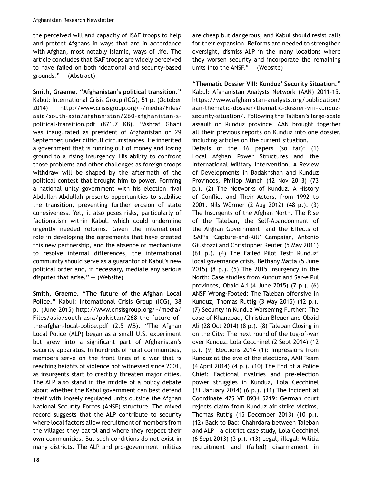the perceived will and capacity of ISAF troops to help and protect Afghans in ways that are in accordance with Afghan, most notably Islamic, ways of life. The article concludes that ISAF troops are widely perceived to have failed on both ideational and security-based grounds." — (Abstract)

**Smith, Graeme. "Afghanistan's political transition."**  Kabul: International Crisis Group (ICG), 51 p. (October 2014) [http://www.crisisgroup.org/~/media/Files/](http://www.crisisgroup.org/~/media/Files/asia/south-asia/afghanistan/260-afghanistan-s-political-transition.pdf) [asia/south-asia/afghanistan/260-afghanistan-s](http://www.crisisgroup.org/~/media/Files/asia/south-asia/afghanistan/260-afghanistan-s-political-transition.pdf)[political-transition.pdf](http://www.crisisgroup.org/~/media/Files/asia/south-asia/afghanistan/260-afghanistan-s-political-transition.pdf) (871.7 KB). "Ashraf Ghani was inaugurated as president of Afghanistan on 29 September, under difficult circumstances. He inherited a government that is running out of money and losing ground to a rising insurgency. His ability to confront those problems and other challenges as foreign troops withdraw will be shaped by the aftermath of the political contest that brought him to power. Forming a national unity government with his election rival Abdullah Abdullah presents opportunities to stabilise the transition, preventing further erosion of state cohesiveness. Yet, it also poses risks, particularly of factionalism within Kabul, which could undermine urgently needed reforms. Given the international role in developing the agreements that have created this new partnership, and the absence of mechanisms to resolve internal differences, the international community should serve as a guarantor of Kabul's new political order and, if necessary, mediate any serious disputes that arise."  $-$  (Website)

**Smith, Graeme. "The future of the Afghan Local Police."** Kabul: International Crisis Group (ICG), 38 p. (June 2015) [http://www.crisisgroup.org/~/media/](http://www.crisisgroup.org/~/media/Files/asia/south-asia/pakistan/268-the-future-of-the-afghan-local-police.pdf) [Files/asia/south-asia/pakistan/268-the-future-of](http://www.crisisgroup.org/~/media/Files/asia/south-asia/pakistan/268-the-future-of-the-afghan-local-police.pdf)[the-afghan-local-police.pdf](http://www.crisisgroup.org/~/media/Files/asia/south-asia/pakistan/268-the-future-of-the-afghan-local-police.pdf) (2.5 MB). "The Afghan Local Police (ALP) began as a small U.S. experiment but grew into a significant part of Afghanistan's security apparatus. In hundreds of rural communities, members serve on the front lines of a war that is reaching heights of violence not witnessed since 2001, as insurgents start to credibly threaten major cities. The ALP also stand in the middle of a policy debate about whether the Kabul government can best defend itself with loosely regulated units outside the Afghan National Security Forces (ANSF) structure. The mixed record suggests that the ALP contribute to security where local factors allow recruitment of members from the villages they patrol and where they respect their own communities. But such conditions do not exist in many districts. The ALP and pro-government militias

are cheap but dangerous, and Kabul should resist calls for their expansion. Reforms are needed to strengthen oversight, dismiss ALP in the many locations where they worsen security and incorporate the remaining units into the ANSF."  $-$  (Website)

**"Thematic Dossier VIII: Kunduz' Security Situation."**  Kabul: Afghanistan Analysts Network (AAN) 2011-15. [https://www.afghanistan-analysts.org/publication/](https://www.afghanistan-analysts.org/publication/aan-thematic-dossier/thematic-dossier-viii-kunduz-security-situation/) [aan-thematic-dossier/thematic-dossier-viii-kunduz](https://www.afghanistan-analysts.org/publication/aan-thematic-dossier/thematic-dossier-viii-kunduz-security-situation/)[security-situation/.](https://www.afghanistan-analysts.org/publication/aan-thematic-dossier/thematic-dossier-viii-kunduz-security-situation/) Following the Taliban's large-scale assault on Kunduz province, AAN brought together all their previous reports on Kunduz into one dossier, including articles on the current situation.

Details of the 16 papers (so far): (1) [Local Afghan Power Structures and the](http://www.afghanistan-analysts.org/wp-content/uploads/2013/11/20131110_PMunch_Kunduz-final.pdf)  [International Military Intervention. A Review](http://www.afghanistan-analysts.org/wp-content/uploads/2013/11/20131110_PMunch_Kunduz-final.pdf)  [of Developments in Badakhshan and Kunduz](http://www.afghanistan-analysts.org/wp-content/uploads/2013/11/20131110_PMunch_Kunduz-final.pdf)  [Provinces](http://www.afghanistan-analysts.org/wp-content/uploads/2013/11/20131110_PMunch_Kunduz-final.pdf), Philipp Münch (12 Nov 2013) (73 p.). (2) The Networks of Kunduz. A History of Conflict and Their Actors, from 1992 to 2001, Nils Wörmer (2 Aug 2012) (48 p.). (3) The Insurgents of the Afghan North. The Rise of the Taleban, the Self-Abandonment of the Afghan Government, and the Effects of ISAF's 'Capture-and-Kill' Campaign, Antonio Giustozzi and Christopher Reuter (5 May 2011) (61 p.). (4) The Failed Pilot Test: Kunduz' local governance crisis, Bethany Matta (5 June 2015) (8 p.). (5) The 2015 Insurgency in the North: Case studies from Kunduz and Sar-e Pul provinces, Obaid Ali (4 June 2015) (7 p.). (6) ANSF Wrong-Footed: The Taleban offensive in Kunduz, Thomas Ruttig (3 May 2015) (12 p.). (7) Security in Kunduz Worsening Further: The case of Khanabad, Christian Bleuer and Obaid Ali (28 Oct 2014) (8 p.). (8) Taleban Closing in on the City: The next round of the tug-of-war over Kunduz, Lola Cecchinel (2 Sept 2014) (12 p.). (9) Elections 2014 (1): Impressions from Kunduz at the eve of the elections, AAN Team (4 April 2014) (4 p.). (10) The End of a Police Chief: Factional rivalries and pre-election power struggles in Kunduz, Lola Cecchinel (31 January 2014) (6 p.). (11) The Incident at Coordinate 42S VF 8934 5219: German court rejects claim from Kunduz air strike victims, Thomas Ruttig (15 December 2013) (10 p.). (12) Back to Bad: Chahrdara between Taleban and ALP – a district case study, Lola Cecchinel (6 Sept 2013) (3 p.). (13) Legal, illegal: Militia recruitment and (failed) disarmament in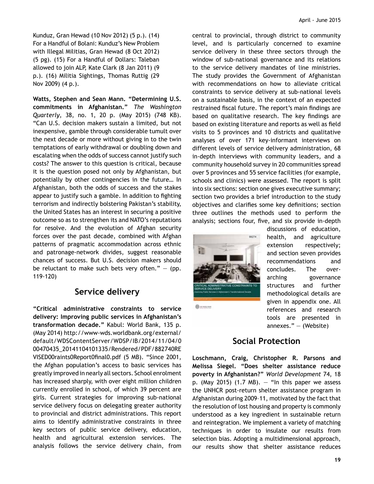Kunduz, Gran Hewad (10 Nov 2012) (5 p.). (14) For a Handful of Bolani: Kunduz's New Problem with Illegal Militias, Gran Hewad (8 Oct 2012) (5 pg). (15) For a Handful of Dollars: Taleban allowed to join ALP, Kate Clark (8 Jan 2011) (9 p.). (16) Militia Sightings, Thomas Ruttig (29 Nov 2009) (4 p.).

**Watts, Stephen and Sean Mann. "Determining U.S. commitments in Afghanistan."** *The Washington Quarterly*, 38, no. 1, 20 p. (May 2015) (748 KB). "Can U.S. decision makers sustain a limited, but not inexpensive, gamble through considerable tumult over the next decade or more without giving in to the twin temptations of early withdrawal or doubling down and escalating when the odds of success cannot justify such costs? The answer to this question is critical, because it is the question posed not only by Afghanistan, but potentially by other contingencies in the future… In Afghanistan, both the odds of success and the stakes appear to justify such a gamble. In addition to fighting terrorism and indirectly bolstering Pakistan's stability, the United States has an interest in securing a positive outcome so as to strengthen its and NATO's reputations for resolve. And the evolution of Afghan security forces over the past decade, combined with Afghan patterns of pragmatic accommodation across ethnic and patronage-network divides, suggest reasonable chances of success. But U.S. decision makers should be reluctant to make such bets very often."  $-$  (pp. 119-120)

#### **Service delivery**

**"Critical administrative constraints to service delivery: Improving public services in Afghanistan's transformation decade."** Kabul: World Bank, 135 p. (May 2014) [http://www-wds.worldbank.org/external/](http://www-wds.worldbank.org/external/default/WDSContentServer/WDSP/IB/2014/11/04/000470435_20141104101335/Rendered/PDF/882740REVISED00raints0Report0final0.pdf) [default/WDSContentServer/WDSP/IB/2014/11/04/0](http://www-wds.worldbank.org/external/default/WDSContentServer/WDSP/IB/2014/11/04/000470435_20141104101335/Rendered/PDF/882740REVISED00raints0Report0final0.pdf) [00470435\\_20141104101335/Rendered/PDF/882740RE](http://www-wds.worldbank.org/external/default/WDSContentServer/WDSP/IB/2014/11/04/000470435_20141104101335/Rendered/PDF/882740REVISED00raints0Report0final0.pdf) [VISED00raints0Report0final0.pdf](http://www-wds.worldbank.org/external/default/WDSContentServer/WDSP/IB/2014/11/04/000470435_20141104101335/Rendered/PDF/882740REVISED00raints0Report0final0.pdf) (5 MB). "Since 2001, the Afghan population's access to basic services has greatly improved in nearly all sectors. School enrolment has increased sharply, with over eight million children currently enrolled in school, of which 39 percent are girls. Current strategies for improving sub-national service delivery focus on delegating greater authority to provincial and district administrations. This report aims to identify administrative constraints in three key sectors of public service delivery, education, health and agricultural extension services. The analysis follows the service delivery chain, from

central to provincial, through district to community level, and is particularly concerned to examine service delivery in these three sectors through the window of sub-national governance and its relations to the service delivery mandates of line ministries. The study provides the Government of Afghanistan with recommendations on how to alleviate critical constraints to service delivery at sub-national levels on a sustainable basis, in the context of an expected restrained fiscal future. The report's main findings are based on qualitative research. The key findings are based on existing literature and reports as well as field visits to 5 provinces and 10 districts and qualitative analyses of over 171 key-informant interviews on different levels of service delivery administration, 68 in-depth interviews with community leaders, and a community household survey in 20 communities spread over 5 provinces and 55 service facilities (for example, schools and clinics) were assessed. The report is split into six sections: section one gives executive summary; section two provides a brief introduction to the study objectives and clarifies some key definitions; section three outlines the methods used to perform the analysis; sections four, five, and six provide in-depth



**O**current

discussions of education, health, and agriculture extension respectively; and section seven provides recommendations and concludes. The overarching governance structures and further methodological details are given in appendix one. All references and research tools are presented in annexes." — (Website)

**Social Protection**

**Loschmann, Craig, Christopher R. Parsons and Melissa Siegel. "Does shelter assistance reduce poverty in Afghanistan?"** *World Development* 74, 18 p. (May 2015) (1.7 MB).  $-$  "In this paper we assess the UNHCR post-return shelter assistance program in Afghanistan during 2009–11, motivated by the fact that the resolution of lost housing and property is commonly understood as a key ingredient in sustainable return and reintegration. We implement a variety of matching techniques in order to insulate our results from selection bias. Adopting a multidimensional approach, our results show that shelter assistance reduces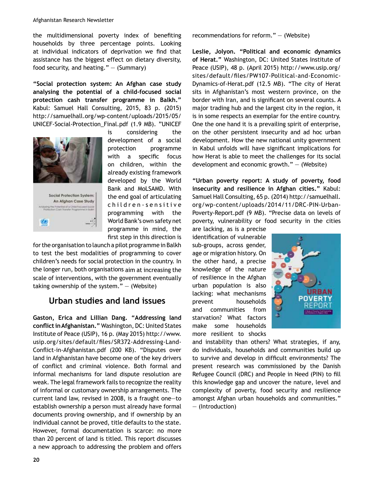the multidimensional poverty index of benefiting households by three percentage points. Looking at individual indicators of deprivation we find that assistance has the biggest effect on dietary diversity, food security, and heating."  $-$  (Summary)

**"Social protection system: An Afghan case study analysing the potential of a child-focused social protection cash transfer programme in Balkh."**  Kabul: Samuel Hall Consulting, 2015, 83 p. (2015) [http://samuelhall.org/wp-content/uploads/2015/05/](http://samuelhall.org/wp-content/uploads/2015/05/UNICEF-Social-Protection_Final.pdf) [UNICEF-Social-Protection\\_Final.pdf](http://samuelhall.org/wp-content/uploads/2015/05/UNICEF-Social-Protection_Final.pdf) (1.9 MB). "UNICEF



is considering the development of a social protection programme with a specific focus on children, within the already existing framework developed by the World Bank and MoLSAMD. With the end goal of articulating children - sensitive programming with the World Bank's own safety net programme in mind, the first step in this direction is

for the organisation to launch a pilot programme in Balkh to test the best modalities of programming to cover children's needs for social protection in the country. In the longer run, both organisations aim at increasing the scale of interventions, with the government eventually taking ownership of the system."  $-$  (Website)

#### **Urban studies and land issues**

**Gaston, Erica and Lillian Dang. "Addressing land conflict in Afghanistan."** Washington, DC: United States Institute of Peace (USIP), 16 p. (May 2015) [http://www.](http://www.usip.org/sites/default/files/SR372-Addressing-Land-Conflict-in-Afghanistan.pdf%20(200) usip.org/sites[/default/files/SR372-Addressing-Land-](http://www.usip.org/sites/default/files/SR372-Addressing-Land-Conflict-in-Afghanistan.pdf%20(200)[Conflict-in-Afghanistan.pdf \(200](http://www.usip.org/sites/default/files/SR372-Addressing-Land-Conflict-in-Afghanistan.pdf%20(200) KB). "Disputes over land in Afghanistan have become one of the key drivers of conflict and criminal violence. Both formal and informal mechanisms for land dispute resolution are weak. The legal framework fails to recognize the reality of informal or customary ownership arrangements. The current land law, revised in 2008, is a fraught one—to establish ownership a person must already have formal documents proving ownership, and if ownership by an individual cannot be proved, title defaults to the state. However, formal documentation is scarce: no more than 20 percent of land is titled. This report discusses a new approach to addressing the problem and offers

recommendations for reform." — (Website)

**Leslie, Jolyon. "Political and economic dynamics of Herat."** Washington, DC: United States Institute of Peace (USIP), 48 p. (April 2015) [http://www.usip.org/](http://www.usip.org/sites/default/files/PW107-Political-and-Economic-Dynamics-of-Herat.pdf) [sites/default/files/PW107-Political-and](http://www.usip.org/sites/default/files/PW107-Political-and-Economic-Dynamics-of-Herat.pdf)-Economic-[Dynamics-of-Herat.pdf](http://www.usip.org/sites/default/files/PW107-Political-and-Economic-Dynamics-of-Herat.pdf) (12.5 MB). "The city of Herat sits in Afghanistan's most western province, on the border with Iran, and is significant on several counts. A major trading hub and the largest city in the region, it is in some respects an exemplar for the entire country. One the one hand it is a prevailing spirit of enterprise, on the other persistent insecurity and ad hoc urban development. How the new national unity government in Kabul unfolds will have significant implications for how Herat is able to meet the challenges for its social development and economic growth." — (Website)

**"Urban poverty report: A study of poverty, food insecurity and resilience in Afghan cities."** Kabul: Samuel Hall Consulting, 65 p. (2014) [http://samuelhall.](http://samuelhall.org/wp-content/uploads/2014/11/DRC-PIN-Urban-Poverty-Report.pdf) [org/wp-content/uploads/2014/11/DRC-PIN-Urban-](http://samuelhall.org/wp-content/uploads/2014/11/DRC-PIN-Urban-Poverty-Report.pdf)[Poverty-Report.pdf](http://samuelhall.org/wp-content/uploads/2014/11/DRC-PIN-Urban-Poverty-Report.pdf) (9 MB). "Precise data on levels of poverty, vulnerability or food security in the cities

are lacking, as is a precise identification of vulnerable sub-groups, across gender, age or migration history. On the other hand, a precise knowledge of the nature of resilience in the Afghan urban population is also lacking: what mechanisms prevent households and communities from starvation? What factors make some households more resilient to shocks



and instability than others? What strategies, if any, do individuals, households and communities build up to survive and develop in difficult environments? The present research was commissioned by the Danish Refugee Council (DRC) and People in Need (PIN) to fill this knowledge gap and uncover the nature, level and complexity of poverty, food security and resilience amongst Afghan urban households and communities." — (Introduction)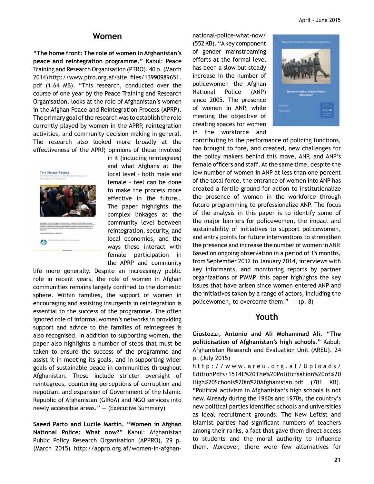#### **Women**

**"The home front: The role of women in Afghanistan's peace and reintegration programme."** Kabul: Peace Training and Research Organisation (PTRO), 40 p. (March 2014) [http://www.ptro.org.af/](http://www.ptro.org.af/site_files/13990989651.pdf)site\_files/13990989651. [pdf](http://www.ptro.org.af/site_files/13990989651.pdf) (1.64 MB). "This research, conducted over the course of one year by the Peace Training and Research Organisation, looks at the role of Afghanistan's women in the Afghan Peace and Reintegration Process (APRP). The primary goal of the research was to establish the role currently played by women in the APRP, reintegration activities, and community decision making in general. The research also looked more broadly at the effectiveness of the APRP, opinions of those involved



in it (including reintegrees) and what Afghans at the local level – both male and female – feel can be done to make the process more effective in the future… The paper highlights the complex linkages at the community level between reintegration, security, and local economies, and the ways these interact with female participation in the APRP and community

life more generally. Despite an increasingly public role in recent years, the role of women in Afghan communities remains largely confined to the domestic sphere. Within families, the support of women in encouraging and assisting insurgents in reintegration is essential to the success of the programme. The often ignored role of informal women's networks in providing support and advice to the families of reintegrees is also recognised. In addition to supporting women, the paper also highlights a number of steps that must be taken to ensure the success of the programme and assist it in meeting its goals, and in supporting wider goals of sustainable peace in communities throughout Afghanistan. These include stricter oversight of reintegrees, countering perceptions of corruption and nepotism, and expansion of Government of the Islamic Republic of Afghanistan (GIRoA) and NGO services into newly accessible areas." — (Executive Summary)

**Saeed Parto and Lucile Martin. "Women in Afghan National Police: What now?"** Kabul: Afghanistan Public Policy Research Organisation (APPRO), 29 p. (March 2015) [http://appro.org.af/women-in-afghan-](http://appro.org.af/women-in-afghan-national-police-what-now/)

[national-police-what-now/](http://appro.org.af/women-in-afghan-national-police-what-now/) (552 KB). "A key component of gender mainstreaming efforts at the formal level has been a slow but steady increase in the number of policewomen the Afghan National Police (ANP) since 2005. The presence of women in ANP, while meeting the objective of creating spaces for women in the workforce and



contributing to the performance of policing functions, has brought to fore, and created, new challenges for the policy makers behind this move, ANP, and ANP's female officers and staff. At the same time, despite the low number of women in ANP at less than one percent of the total force, the entrance of women into ANP has created a fertile ground for action to institutionalize the presence of women in the workforce through future programming to professionalize ANP. The focus of the analysis in this paper is to identify some of the major barriers for policewomen, the impact and sustainability of initiatives to support policewomen, and entry points for future interventions to strengthen the presence and increase the number of women in ANP. Based on ongoing observation in a period of 15 months, from September 2012 to January 2014, interviews with key informants, and monitoring reports by partner organizations of PWMP, this paper highlights the key issues that have arisen since women entered ANP and the initiatives taken by a range of actors, including the policewomen, to overcome them."  $-$  (p. 8)

#### **Youth**

**Giustozzi, Antonio and Ali Mohammad Ali. "The politicisation of Afghanistan's high schools."** Kabul: Afghanistan Research and Evaluation Unit (AREU), 24 p. (July 2015)

[http://www.areu.org.af/Uploads/](http://www.areu.org.af/Uploads/EditionPdfs/1514E) [EditionPdfs/1514E](http://www.areu.org.af/Uploads/EditionPdfs/1514E)%20The%20Politicisation%20of%20 High%20Schools%20in[%20Afghanistan.pdf](20Afghanistan.pdf) (701 KB). "Political activism in Afghanistan's high schools is not new. Already during the 1960s and 1970s, the country's new political parties identified schools and universities as ideal recruitment grounds. The New Leftist and Islamist parties had significant numbers of teachers among their ranks, a fact that gave them direct access to students and the moral authority to influence them. Moreover, there were few alternatives for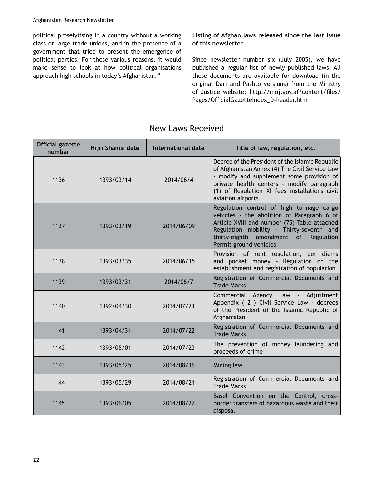political proselytising in a country without a working class or large trade unions, and in the presence of a government that tried to present the emergence of political parties. For these various reasons, it would make sense to look at how political organisations approach high schools in today's Afghanistan."

#### **Listing of Afghan laws released since the last issue of this newsletter**

Since newsletter number six (July 2005), we have published a regular list of newly published laws. All these documents are available for download (in the original Dari and Pashto versions) from the Ministry of Justice website: [http://moj.gov.af/content](http://moj.gov.af/content/files/Pages/OfficialGazetteIndex_D-header.htm)/files/ [Pages/OfficialGazetteIndex\\_D-header.htm](http://moj.gov.af/content/files/Pages/OfficialGazetteIndex_D-header.htm)

#### New Laws Received

| <b>Official gazette</b><br>number | Hijri Shamsi date | <b>International date</b> | Title of law, regulation, etc.                                                                                                                                                                                                                                    |
|-----------------------------------|-------------------|---------------------------|-------------------------------------------------------------------------------------------------------------------------------------------------------------------------------------------------------------------------------------------------------------------|
| 1136                              | 1393/03/14        | 2014/06/4                 | Decree of the President of the Islamic Republic<br>of Afghanistan Annex (4) The Civil Service Law<br>- modify and supplement some provision of<br>private health centers - modify paragraph<br>(1) of Regulation XI fees installations civil<br>aviation airports |
| 1137                              | 1393/03/19        | 2014/06/09                | Regulation control of high tonnage cargo<br>vehicles - the abolition of Paragraph 6 of<br>Article XVIII and number (75) Table attached<br>Regulation mobility - Thirty-seventh and<br>amendment of Regulation<br>thirty-eighth<br>Permit ground vehicles          |
| 1138                              | 1393/03/35        | 2014/06/15                | Provision of rent regulation, per diems<br>and pocket money - Regulation on the<br>establishment and registration of population                                                                                                                                   |
| 1139                              | 1393/03/31        | 2014/06/7                 | Registration of Commercial Documents and<br><b>Trade Marks</b>                                                                                                                                                                                                    |
| 1140                              | 1392/04/30        | 2014/07/21                | Commercial Agency Law - Adjustment<br>Appendix (2) Civil Service Law - decrees<br>of the President of the Islamic Republic of<br>Afghanistan                                                                                                                      |
| 1141                              | 1393/04/31        | 2014/07/22                | Registration of Commercial Documents and<br><b>Trade Marks</b>                                                                                                                                                                                                    |
| 1142                              | 1393/05/01        | 2014/07/23                | The prevention of money laundering and<br>proceeds of crime                                                                                                                                                                                                       |
| 1143                              | 1393/05/25        | 2014/08/16                | Mining law                                                                                                                                                                                                                                                        |
| 1144                              | 1393/05/29        | 2014/08/21                | Registration of Commercial Documents and<br><b>Trade Marks</b>                                                                                                                                                                                                    |
| 1145                              | 1393/06/05        | 2014/08/27                | Basel Convention on the Control, cross-<br>border transfers of hazardous waste and their<br>disposal                                                                                                                                                              |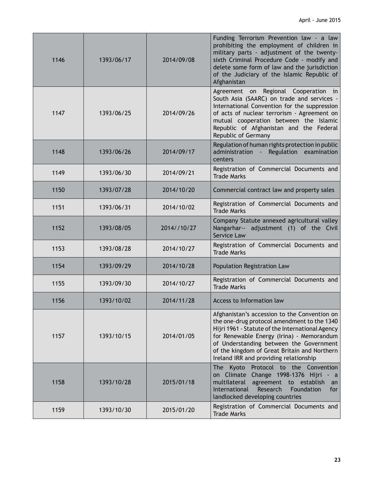| 1146 | 1393/06/17 | 2014/09/08  | Funding Terrorism Prevention law - a law<br>prohibiting the employment of children in<br>military parts - adjustment of the twenty-<br>sixth Criminal Procedure Code - modify and<br>delete some form of law and the jurisdiction<br>of the Judiciary of the Islamic Republic of<br>Afghanistan                                   |
|------|------------|-------------|-----------------------------------------------------------------------------------------------------------------------------------------------------------------------------------------------------------------------------------------------------------------------------------------------------------------------------------|
| 1147 | 1393/06/25 | 2014/09/26  | Agreement on Regional Cooperation in<br>South Asia (SAARC) on trade and services -<br>International Convention for the suppression<br>of acts of nuclear terrorism - Agreement on<br>mutual cooperation between the Islamic<br>Republic of Afghanistan and the Federal<br>Republic of Germany                                     |
| 1148 | 1393/06/26 | 2014/09/17  | Regulation of human rights protection in public<br>administration - Regulation examination<br>centers                                                                                                                                                                                                                             |
| 1149 | 1393/06/30 | 2014/09/21  | Registration of Commercial Documents and<br><b>Trade Marks</b>                                                                                                                                                                                                                                                                    |
| 1150 | 1393/07/28 | 2014/10/20  | Commercial contract law and property sales                                                                                                                                                                                                                                                                                        |
| 1151 | 1393/06/31 | 2014/10/02  | Registration of Commercial Documents and<br><b>Trade Marks</b>                                                                                                                                                                                                                                                                    |
| 1152 | 1393/08/05 | 2014//10/27 | Company Statute annexed agricultural valley<br>Nangarhar-- adjustment (1) of the Civil<br>Service Law                                                                                                                                                                                                                             |
| 1153 | 1393/08/28 | 2014/10/27  | Registration of Commercial Documents and<br><b>Trade Marks</b>                                                                                                                                                                                                                                                                    |
| 1154 | 1393/09/29 | 2014/10/28  | Population Registration Law                                                                                                                                                                                                                                                                                                       |
| 1155 | 1393/09/30 | 2014/10/27  | Registration of Commercial Documents and<br><b>Trade Marks</b>                                                                                                                                                                                                                                                                    |
| 1156 | 1393/10/02 | 2014/11/28  | Access to Information law                                                                                                                                                                                                                                                                                                         |
| 1157 | 1393/10/15 | 2014/01/05  | Afghanistan's accession to the Convention on<br>the one-drug protocol amendment to the 1340<br>Hijri 1961 - Statute of the International Agency<br>for Renewable Energy (Irina) - Memorandum<br>of Understanding between the Government<br>of the kingdom of Great Britain and Northern<br>Ireland IRR and providing relationship |
| 1158 | 1393/10/28 | 2015/01/18  | Protocol to the Convention<br>The<br>Kyoto<br>on Climate Change 1998-1376 Hijri -<br>a<br>multilateral<br>agreement to<br>establish<br>an<br>Research<br>Foundation<br>International<br>for<br>landlocked developing countries                                                                                                    |
| 1159 | 1393/10/30 | 2015/01/20  | Registration of Commercial Documents and<br><b>Trade Marks</b>                                                                                                                                                                                                                                                                    |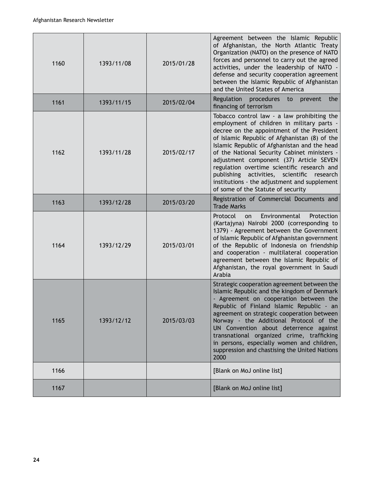| 1160 | 1393/11/08 | 2015/01/28 | Agreement between the Islamic Republic<br>of Afghanistan, the North Atlantic Treaty<br>Organization (NATO) on the presence of NATO<br>forces and personnel to carry out the agreed<br>activities, under the leadership of NATO -<br>defense and security cooperation agreement<br>between the Islamic Republic of Afghanistan<br>and the United States of America                                                                                                                                                      |
|------|------------|------------|------------------------------------------------------------------------------------------------------------------------------------------------------------------------------------------------------------------------------------------------------------------------------------------------------------------------------------------------------------------------------------------------------------------------------------------------------------------------------------------------------------------------|
| 1161 | 1393/11/15 | 2015/02/04 | Regulation<br>procedures<br>the<br>to<br>prevent<br>financing of terrorism                                                                                                                                                                                                                                                                                                                                                                                                                                             |
| 1162 | 1393/11/28 | 2015/02/17 | Tobacco control law - a law prohibiting the<br>employment of children in military parts -<br>decree on the appointment of the President<br>of Islamic Republic of Afghanistan (8) of the<br>Islamic Republic of Afghanistan and the head<br>of the National Security Cabinet ministers -<br>adjustment component (37) Article SEVEN<br>regulation overtime scientific research and<br>publishing activities, scientific research<br>institutions - the adjustment and supplement<br>of some of the Statute of security |
| 1163 | 1393/12/28 | 2015/03/20 | Registration of Commercial Documents and<br><b>Trade Marks</b>                                                                                                                                                                                                                                                                                                                                                                                                                                                         |
| 1164 | 1393/12/29 | 2015/03/01 | Environmental<br>Protection<br>Protocol<br><b>on</b><br>(Kartajyna) Nairobi 2000 (corresponding to<br>1379) - Agreement between the Government<br>of Islamic Republic of Afghanistan government<br>of the Republic of Indonesia on friendship<br>and cooperation - multilateral cooperation<br>agreement between the Islamic Republic of<br>Afghanistan, the royal government in Saudi<br>Arabia                                                                                                                       |
| 1165 | 1393/12/12 | 2015/03/03 | Strategic cooperation agreement between the<br>Islamic Republic and the kingdom of Denmark<br>- Agreement on cooperation between the<br>Republic of Finland Islamic Republic - an<br>agreement on strategic cooperation between<br>Norway - the Additional Protocol of the<br>UN Convention about deterrence against<br>transnational organized crime, trafficking<br>in persons, especially women and children,<br>suppression and chastising the United Nations<br>2000                                              |
| 1166 |            |            | [Blank on MoJ online list]                                                                                                                                                                                                                                                                                                                                                                                                                                                                                             |
| 1167 |            |            | [Blank on MoJ online list]                                                                                                                                                                                                                                                                                                                                                                                                                                                                                             |